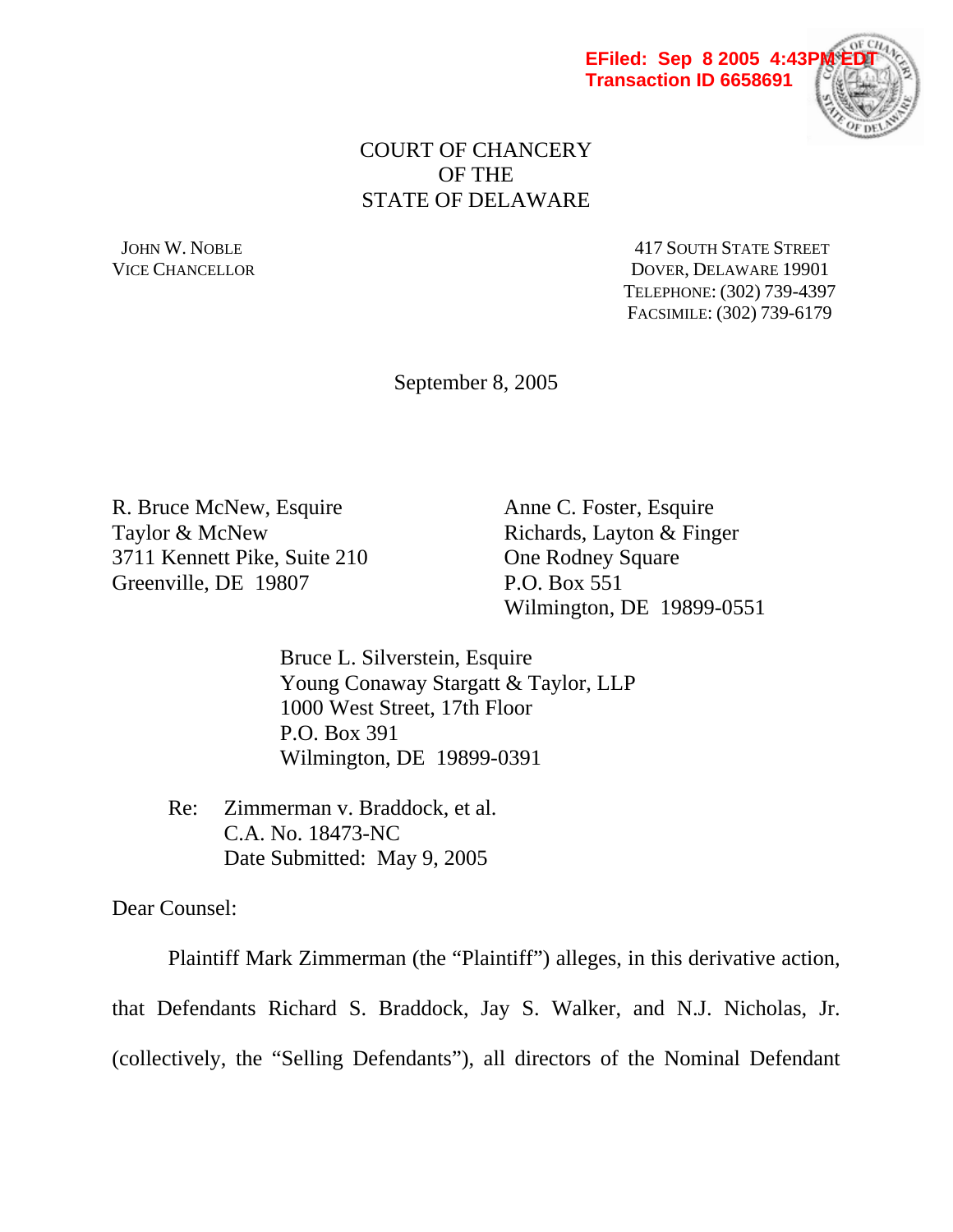

# COURT OF CHANCERY OF THE STATE OF DELAWARE

JOHN W. NOBLE **AND STATE STREET** 417 SOUTH STATE STREET VICE CHANCELLOR DOVER, DELAWARE 19901 TELEPHONE: (302) 739-4397 FACSIMILE: (302) 739-6179

September 8, 2005

R. Bruce McNew, Esquire Anne C. Foster, Esquire Taylor & McNew Richards, Layton & Finger 3711 Kennett Pike, Suite 210 One Rodney Square Greenville, DE 19807 P.O. Box 551

Wilmington, DE 19899-0551

 Bruce L. Silverstein, Esquire Young Conaway Stargatt & Taylor, LLP 1000 West Street, 17th Floor P.O. Box 391 Wilmington, DE 19899-0391

 Re: Zimmerman v. Braddock, et al. C.A. No. 18473-NC Date Submitted: May 9, 2005

Dear Counsel:

Plaintiff Mark Zimmerman (the "Plaintiff") alleges, in this derivative action,

that Defendants Richard S. Braddock, Jay S. Walker, and N.J. Nicholas, Jr.

(collectively, the "Selling Defendants"), all directors of the Nominal Defendant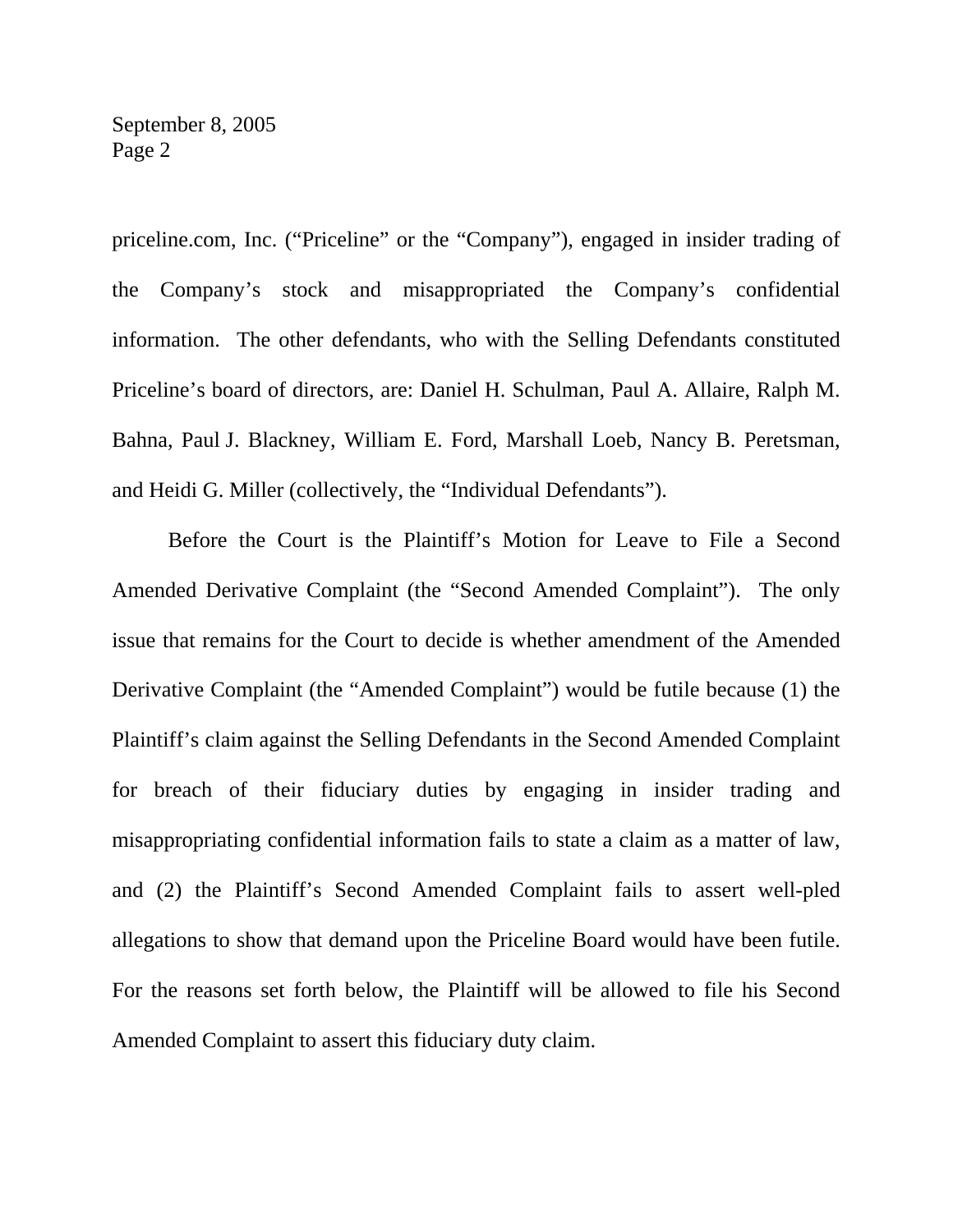priceline.com, Inc. ("Priceline" or the "Company"), engaged in insider trading of the Company's stock and misappropriated the Company's confidential information. The other defendants, who with the Selling Defendants constituted Priceline's board of directors, are: Daniel H. Schulman, Paul A. Allaire, Ralph M. Bahna, Paul J. Blackney, William E. Ford, Marshall Loeb, Nancy B. Peretsman, and Heidi G. Miller (collectively, the "Individual Defendants").

Before the Court is the Plaintiff's Motion for Leave to File a Second Amended Derivative Complaint (the "Second Amended Complaint"). The only issue that remains for the Court to decide is whether amendment of the Amended Derivative Complaint (the "Amended Complaint") would be futile because (1) the Plaintiff's claim against the Selling Defendants in the Second Amended Complaint for breach of their fiduciary duties by engaging in insider trading and misappropriating confidential information fails to state a claim as a matter of law, and (2) the Plaintiff's Second Amended Complaint fails to assert well-pled allegations to show that demand upon the Priceline Board would have been futile. For the reasons set forth below, the Plaintiff will be allowed to file his Second Amended Complaint to assert this fiduciary duty claim.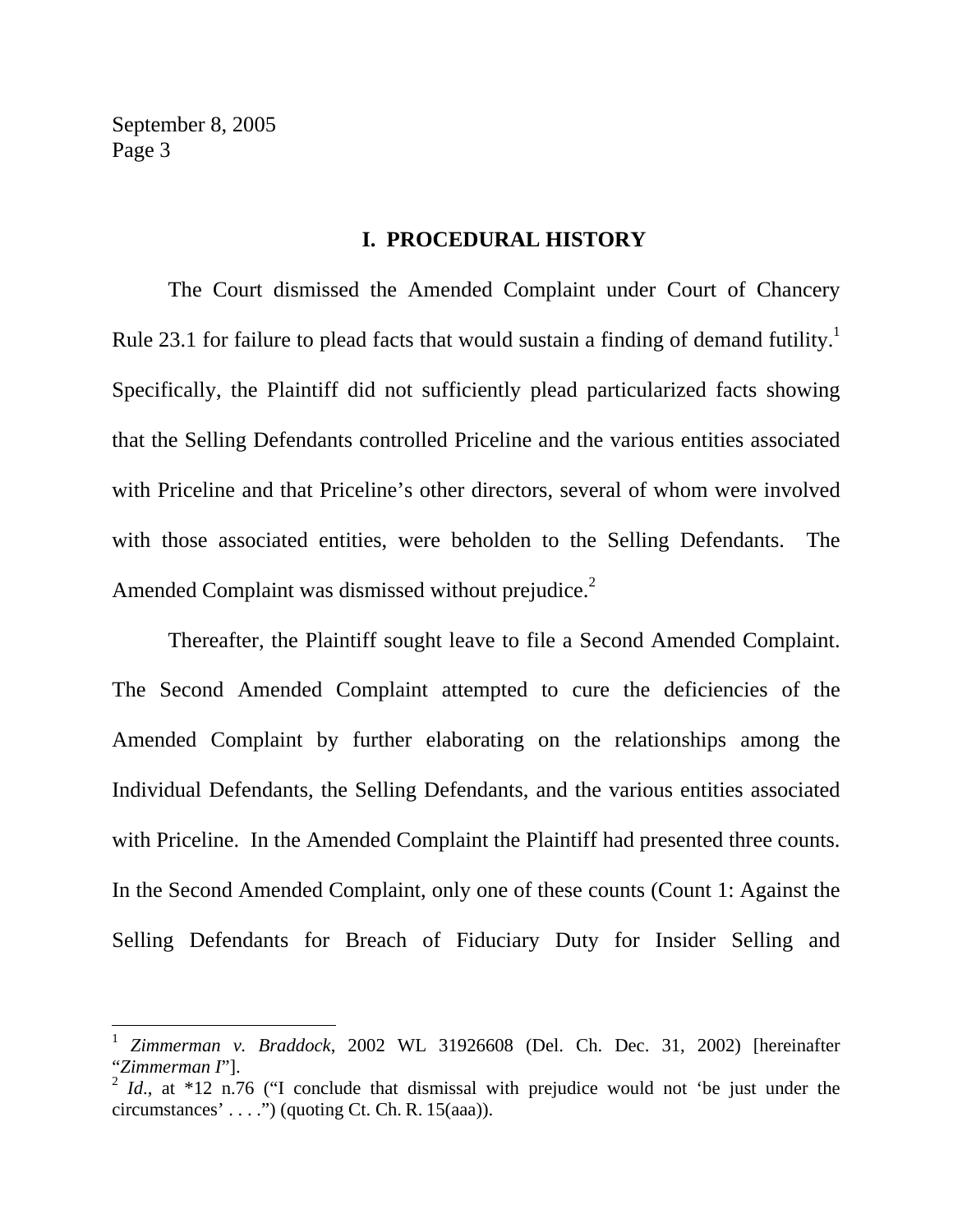$\overline{a}$ 

## **I. PROCEDURAL HISTORY**

The Court dismissed the Amended Complaint under Court of Chancery Rule 23.1 for failure to plead facts that would sustain a finding of demand futility.<sup>1</sup> Specifically, the Plaintiff did not sufficiently plead particularized facts showing that the Selling Defendants controlled Priceline and the various entities associated with Priceline and that Priceline's other directors, several of whom were involved with those associated entities, were beholden to the Selling Defendants. The Amended Complaint was dismissed without prejudice.<sup>2</sup>

Thereafter, the Plaintiff sought leave to file a Second Amended Complaint. The Second Amended Complaint attempted to cure the deficiencies of the Amended Complaint by further elaborating on the relationships among the Individual Defendants, the Selling Defendants, and the various entities associated with Priceline. In the Amended Complaint the Plaintiff had presented three counts. In the Second Amended Complaint, only one of these counts (Count 1: Against the Selling Defendants for Breach of Fiduciary Duty for Insider Selling and

<sup>1</sup> *Zimmerman v. Braddock*, 2002 WL 31926608 (Del. Ch. Dec. 31, 2002) [hereinafter "*Zimmerman I*"].

<sup>&</sup>lt;sup>2</sup> *Id.*, at \*12 n.76 ("I conclude that dismissal with prejudice would not 'be just under the circumstances'  $\dots$ .") (quoting Ct. Ch. R. 15(aaa)).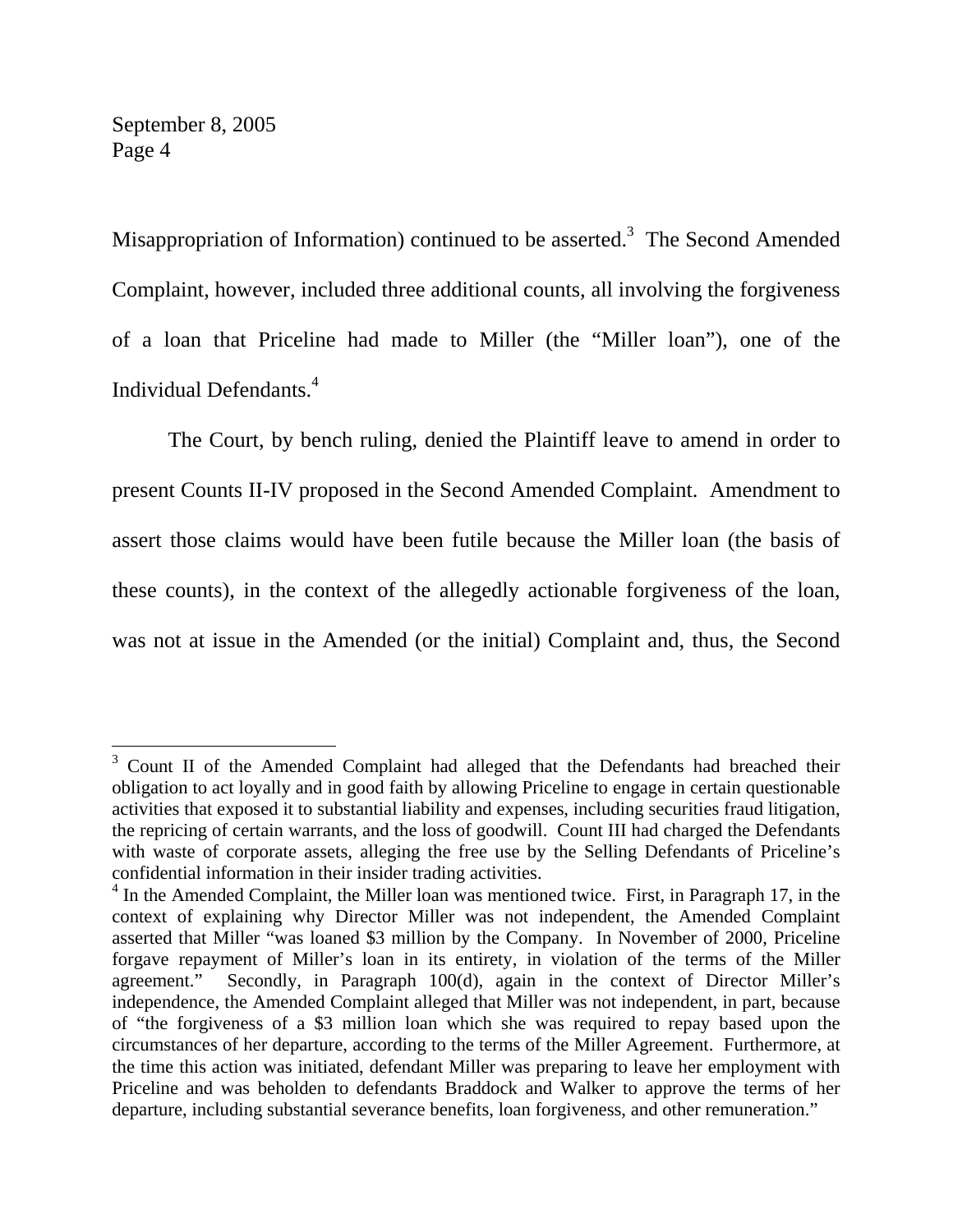Misappropriation of Information) continued to be asserted.<sup>3</sup> The Second Amended Complaint, however, included three additional counts, all involving the forgiveness of a loan that Priceline had made to Miller (the "Miller loan"), one of the Individual Defendants.<sup>4</sup>

The Court, by bench ruling, denied the Plaintiff leave to amend in order to present Counts II-IV proposed in the Second Amended Complaint. Amendment to assert those claims would have been futile because the Miller loan (the basis of these counts), in the context of the allegedly actionable forgiveness of the loan, was not at issue in the Amended (or the initial) Complaint and, thus, the Second

<sup>&</sup>lt;sup>3</sup> Count II of the Amended Complaint had alleged that the Defendants had breached their obligation to act loyally and in good faith by allowing Priceline to engage in certain questionable activities that exposed it to substantial liability and expenses, including securities fraud litigation, the repricing of certain warrants, and the loss of goodwill. Count III had charged the Defendants with waste of corporate assets, alleging the free use by the Selling Defendants of Priceline's confidential information in their insider trading activities.

<sup>&</sup>lt;sup>4</sup> In the Amended Complaint, the Miller loan was mentioned twice. First, in Paragraph 17, in the context of explaining why Director Miller was not independent, the Amended Complaint asserted that Miller "was loaned \$3 million by the Company. In November of 2000, Priceline forgave repayment of Miller's loan in its entirety, in violation of the terms of the Miller agreement." Secondly, in Paragraph 100(d), again in the context of Director Miller's independence, the Amended Complaint alleged that Miller was not independent, in part, because of "the forgiveness of a \$3 million loan which she was required to repay based upon the circumstances of her departure, according to the terms of the Miller Agreement. Furthermore, at the time this action was initiated, defendant Miller was preparing to leave her employment with Priceline and was beholden to defendants Braddock and Walker to approve the terms of her departure, including substantial severance benefits, loan forgiveness, and other remuneration."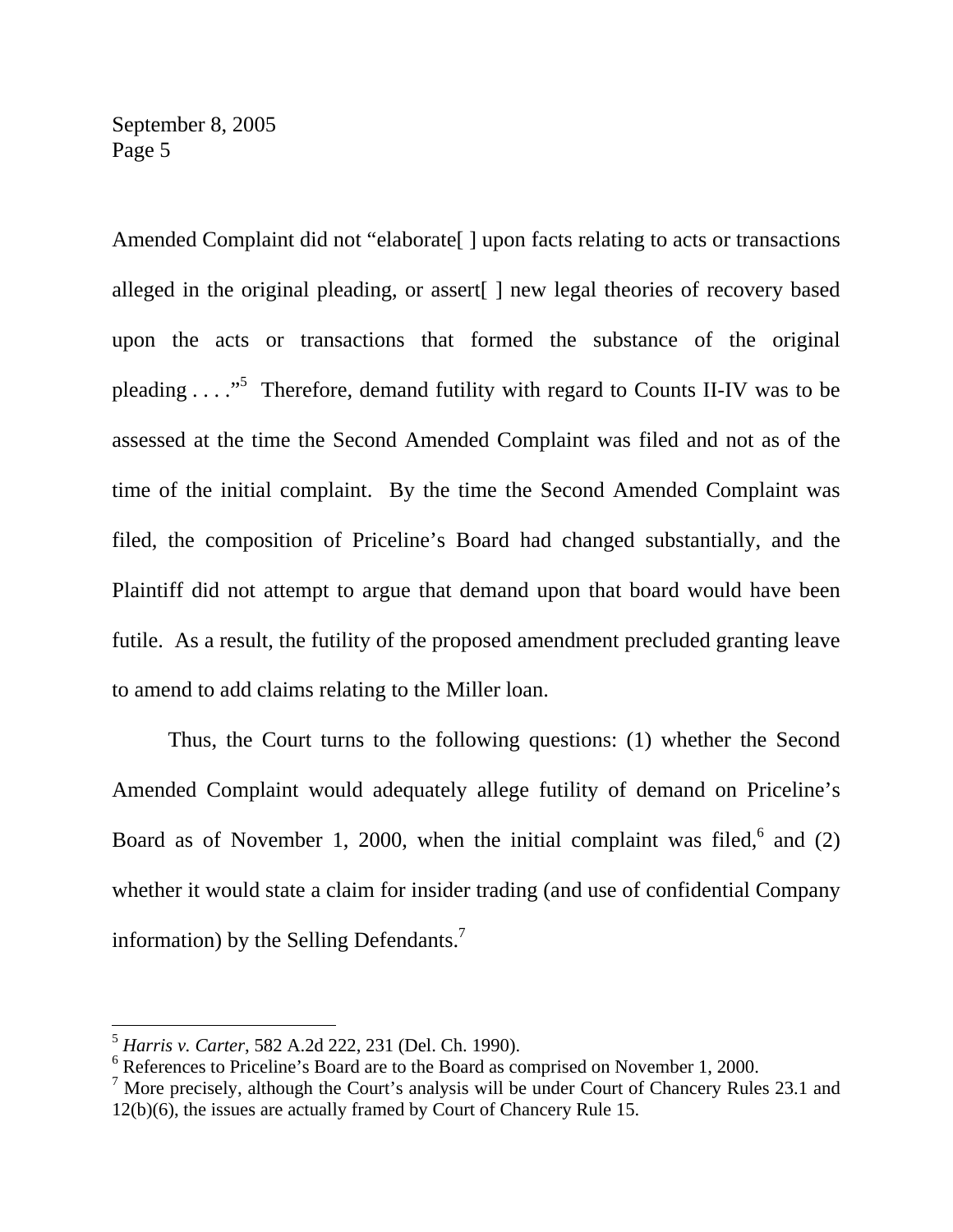Amended Complaint did not "elaborate" | upon facts relating to acts or transactions alleged in the original pleading, or assert[ ] new legal theories of recovery based upon the acts or transactions that formed the substance of the original pleading  $\dots$  <sup>5</sup> Therefore, demand futility with regard to Counts II-IV was to be assessed at the time the Second Amended Complaint was filed and not as of the time of the initial complaint. By the time the Second Amended Complaint was filed, the composition of Priceline's Board had changed substantially, and the Plaintiff did not attempt to argue that demand upon that board would have been futile. As a result, the futility of the proposed amendment precluded granting leave to amend to add claims relating to the Miller loan.

Thus, the Court turns to the following questions: (1) whether the Second Amended Complaint would adequately allege futility of demand on Priceline's Board as of November 1, 2000, when the initial complaint was filed,  $6$  and (2) whether it would state a claim for insider trading (and use of confidential Company information) by the Selling Defendants.<sup>7</sup>

<sup>5</sup> *Harris v. Carter*, 582 A.2d 222, 231 (Del. Ch. 1990).

<sup>&</sup>lt;sup>6</sup> References to Priceline's Board are to the Board as comprised on November 1, 2000.

 $<sup>7</sup>$  More precisely, although the Court's analysis will be under Court of Chancery Rules 23.1 and</sup> 12(b)(6), the issues are actually framed by Court of Chancery Rule 15.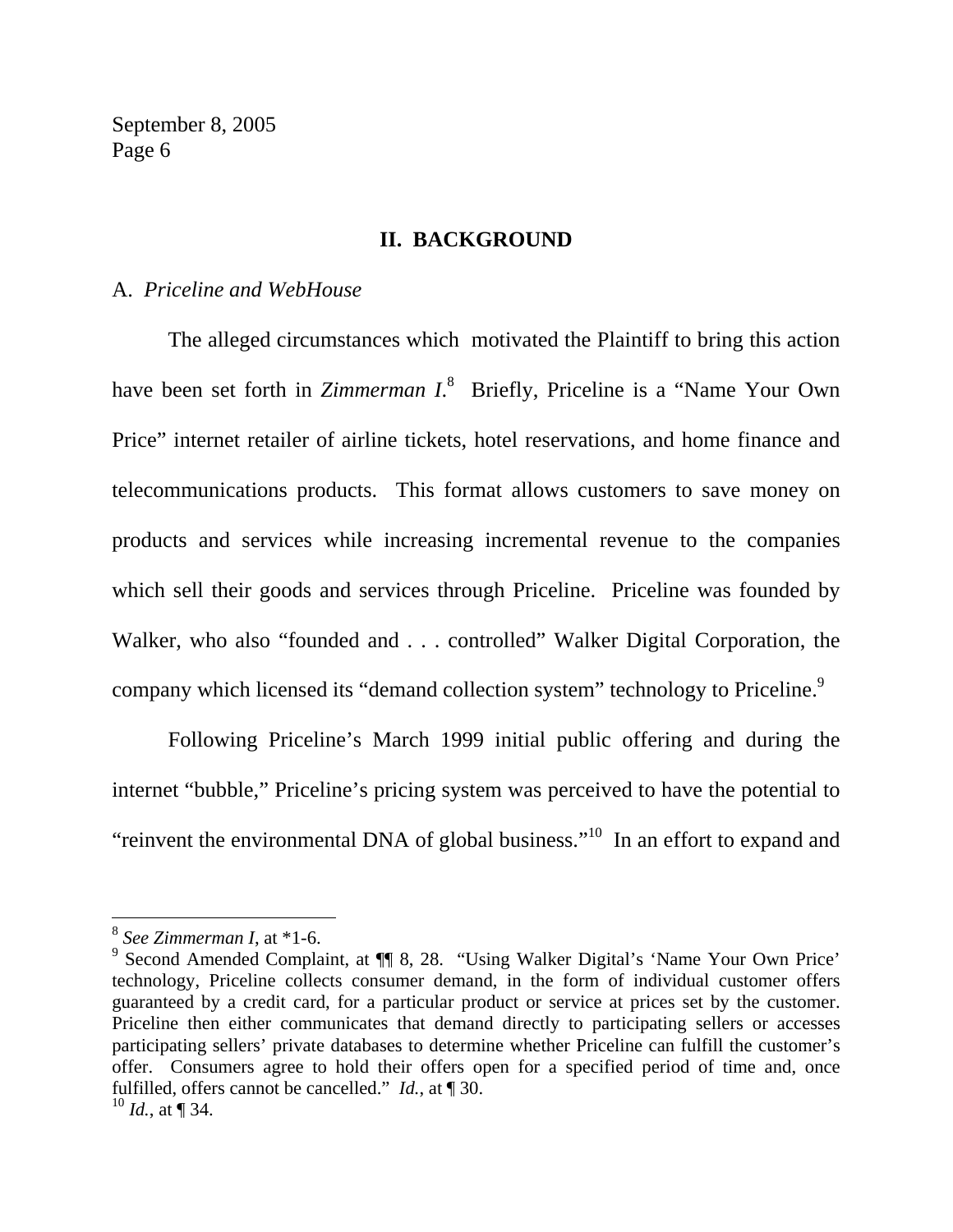# **II. BACKGROUND**

#### A. *Priceline and WebHouse*

 The alleged circumstances which motivated the Plaintiff to bring this action have been set forth in *Zimmerman I*.<sup>8</sup> Briefly, Priceline is a "Name Your Own Price" internet retailer of airline tickets, hotel reservations, and home finance and telecommunications products. This format allows customers to save money on products and services while increasing incremental revenue to the companies which sell their goods and services through Priceline. Priceline was founded by Walker, who also "founded and . . . controlled" Walker Digital Corporation, the company which licensed its "demand collection system" technology to Priceline.<sup>9</sup>

 Following Priceline's March 1999 initial public offering and during the internet "bubble," Priceline's pricing system was perceived to have the potential to "reinvent the environmental DNA of global business."<sup>10</sup> In an effort to expand and

<sup>8</sup> *See Zimmerman I*, at \*1-6.

<sup>&</sup>lt;sup>9</sup> Second Amended Complaint, at ¶¶ 8, 28. "Using Walker Digital's 'Name Your Own Price' technology, Priceline collects consumer demand, in the form of individual customer offers guaranteed by a credit card, for a particular product or service at prices set by the customer. Priceline then either communicates that demand directly to participating sellers or accesses participating sellers' private databases to determine whether Priceline can fulfill the customer's offer. Consumers agree to hold their offers open for a specified period of time and, once fulfilled, offers cannot be cancelled." *Id.*, at ¶ 30.

 $^{10}$  *Id.*, at ¶ 34.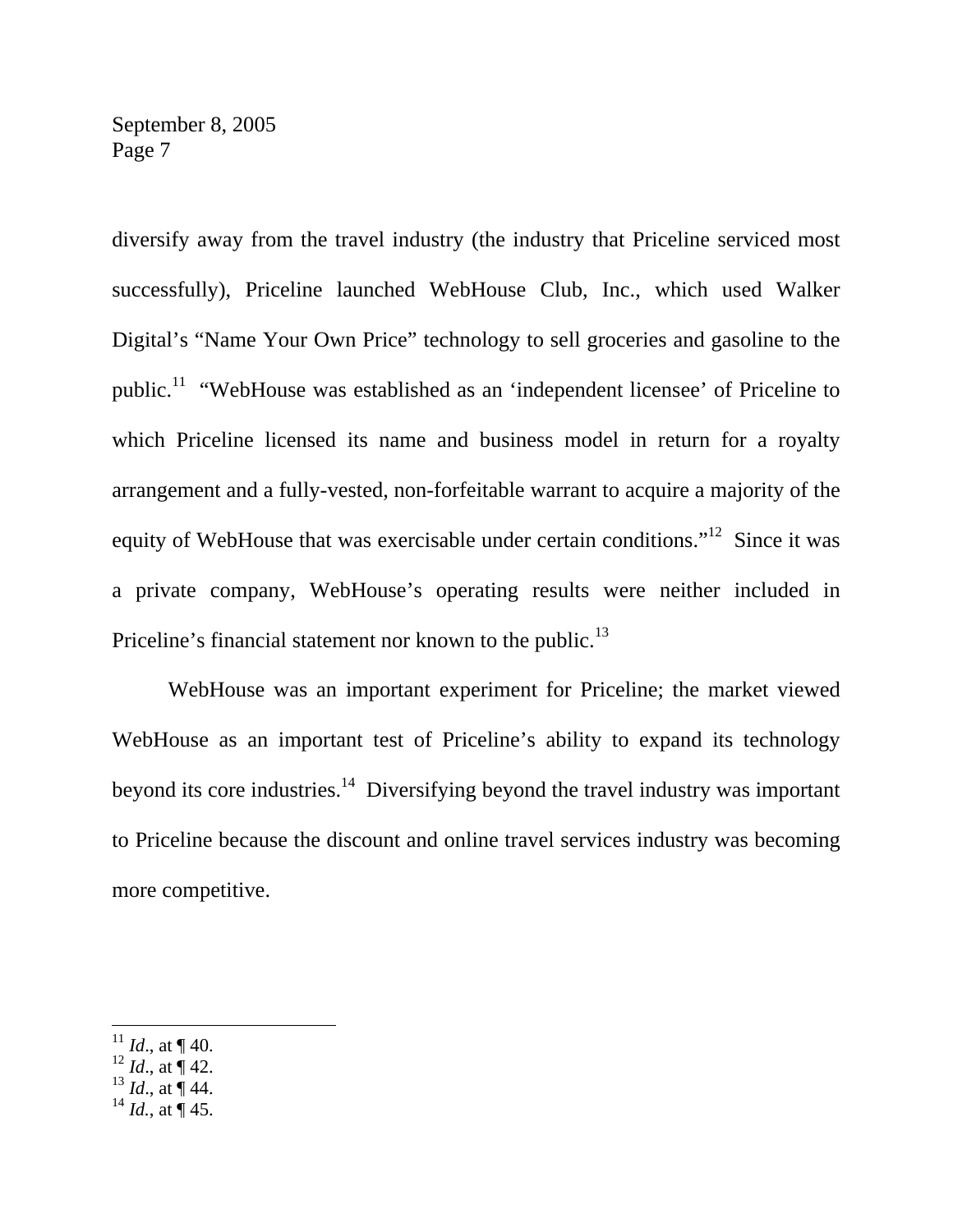diversify away from the travel industry (the industry that Priceline serviced most successfully), Priceline launched WebHouse Club, Inc., which used Walker Digital's "Name Your Own Price" technology to sell groceries and gasoline to the public.11 "WebHouse was established as an 'independent licensee' of Priceline to which Priceline licensed its name and business model in return for a royalty arrangement and a fully-vested, non-forfeitable warrant to acquire a majority of the equity of WebHouse that was exercisable under certain conditions."<sup>12</sup> Since it was a private company, WebHouse's operating results were neither included in Priceline's financial statement nor known to the public.<sup>13</sup>

 WebHouse was an important experiment for Priceline; the market viewed WebHouse as an important test of Priceline's ability to expand its technology beyond its core industries.<sup>14</sup> Diversifying beyond the travel industry was important to Priceline because the discount and online travel services industry was becoming more competitive.

- $^{12}$  *Id.*, at  $\dot{P}$  42.
- $^{13}$  *Id.*, at  $\P$  44.
- $^{14}$  *Id.*, at  $\overline{9}$  45.

<sup>&</sup>lt;sup>11</sup> *Id.*, at  $\P$  40.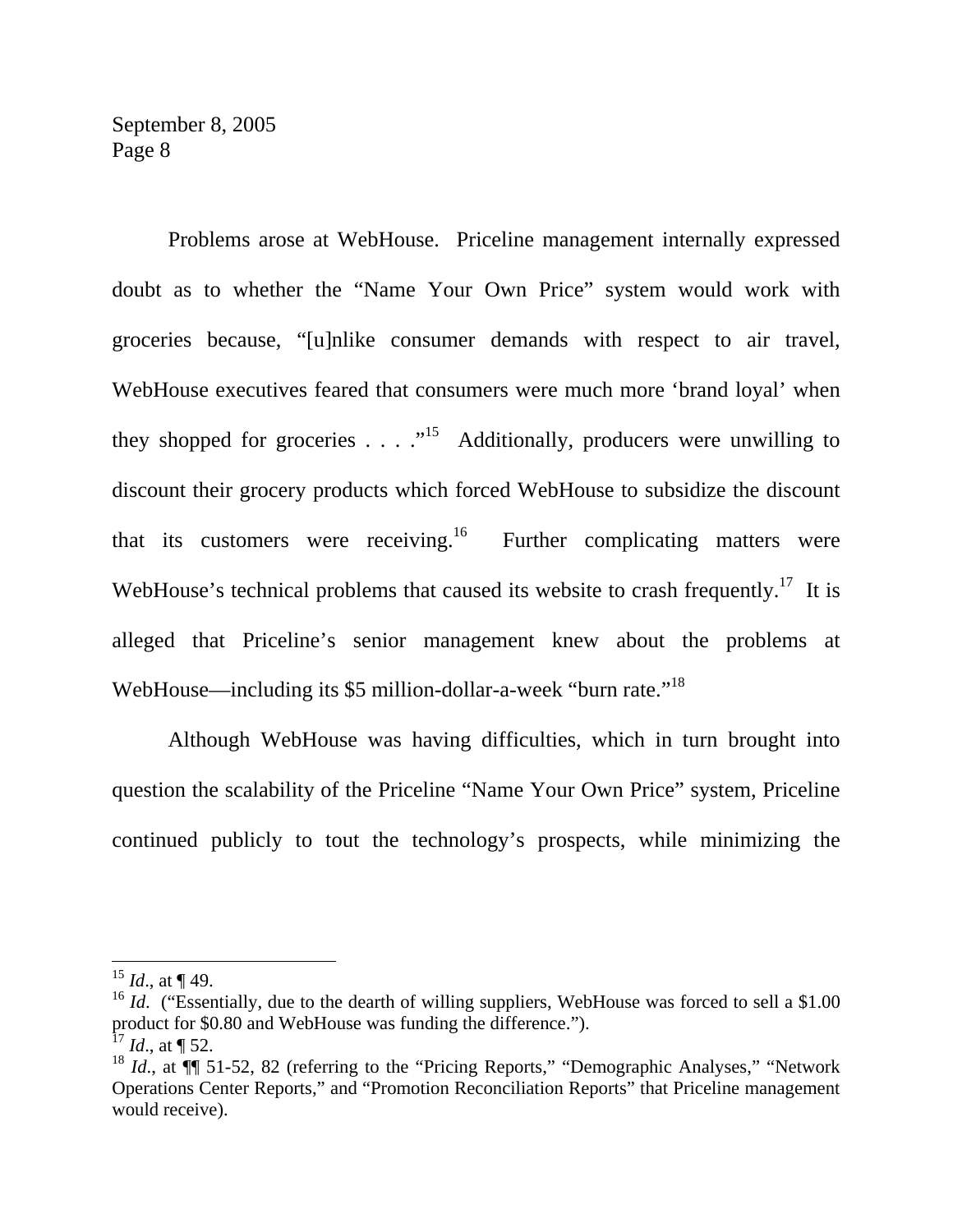Problems arose at WebHouse. Priceline management internally expressed doubt as to whether the "Name Your Own Price" system would work with groceries because, "[u]nlike consumer demands with respect to air travel, WebHouse executives feared that consumers were much more 'brand loyal' when they shopped for groceries  $\ldots$  ..."<sup>15</sup> Additionally, producers were unwilling to discount their grocery products which forced WebHouse to subsidize the discount that its customers were receiving.<sup>16</sup> Further complicating matters were WebHouse's technical problems that caused its website to crash frequently.<sup>17</sup> It is alleged that Priceline's senior management knew about the problems at WebHouse—including its \$5 million-dollar-a-week "burn rate."<sup>18</sup>

 Although WebHouse was having difficulties, which in turn brought into question the scalability of the Priceline "Name Your Own Price" system, Priceline continued publicly to tout the technology's prospects, while minimizing the

 $^{15}$  *Id.*, at ¶ 49.

<sup>&</sup>lt;sup>16</sup> *Id.* ("Essentially, due to the dearth of willing suppliers, WebHouse was forced to sell a \$1.00 product for \$0.80 and WebHouse was funding the difference.").  $^{17}$  *Id.*, at ¶ 52.

<sup>&</sup>lt;sup>18</sup> *Id.*, at  $\P$  51-52, 82 (referring to the "Pricing Reports," "Demographic Analyses," "Network Operations Center Reports," and "Promotion Reconciliation Reports" that Priceline management would receive).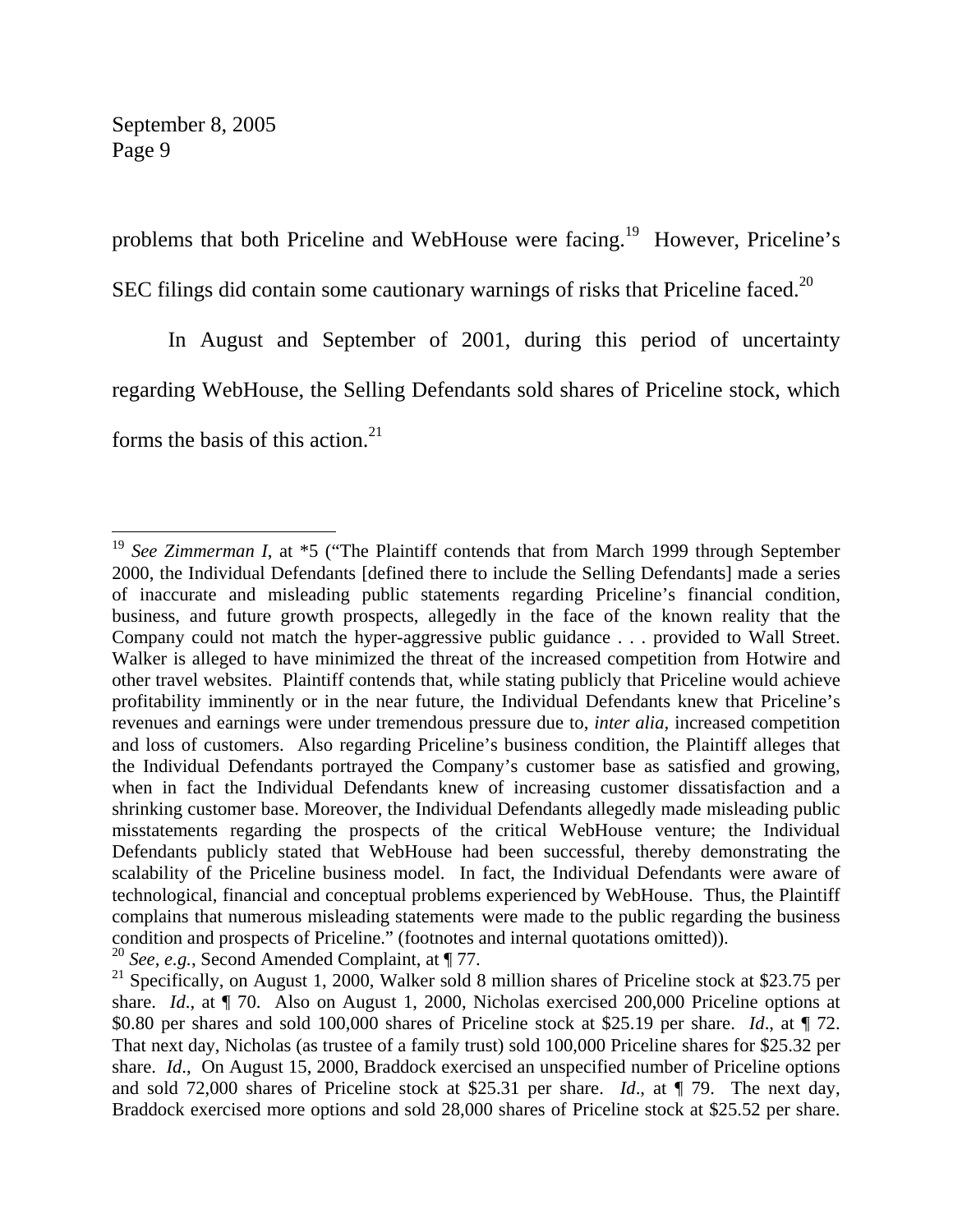problems that both Priceline and WebHouse were facing.19 However, Priceline's

SEC filings did contain some cautionary warnings of risks that Priceline faced.<sup>20</sup>

 In August and September of 2001, during this period of uncertainty regarding WebHouse, the Selling Defendants sold shares of Priceline stock, which forms the basis of this action. $21$ 

<sup>20</sup> *See, e.g.*, Second Amended Complaint, at ¶ 77.

 $\overline{a}$ <sup>19</sup> *See Zimmerman I*, at \*5 ("The Plaintiff contends that from March 1999 through September 2000, the Individual Defendants [defined there to include the Selling Defendants] made a series of inaccurate and misleading public statements regarding Priceline's financial condition, business, and future growth prospects, allegedly in the face of the known reality that the Company could not match the hyper-aggressive public guidance . . . provided to Wall Street. Walker is alleged to have minimized the threat of the increased competition from Hotwire and other travel websites. Plaintiff contends that, while stating publicly that Priceline would achieve profitability imminently or in the near future, the Individual Defendants knew that Priceline's revenues and earnings were under tremendous pressure due to, *inter alia,* increased competition and loss of customers. Also regarding Priceline's business condition, the Plaintiff alleges that the Individual Defendants portrayed the Company's customer base as satisfied and growing, when in fact the Individual Defendants knew of increasing customer dissatisfaction and a shrinking customer base. Moreover, the Individual Defendants allegedly made misleading public misstatements regarding the prospects of the critical WebHouse venture; the Individual Defendants publicly stated that WebHouse had been successful, thereby demonstrating the scalability of the Priceline business model. In fact, the Individual Defendants were aware of technological, financial and conceptual problems experienced by WebHouse. Thus, the Plaintiff complains that numerous misleading statements were made to the public regarding the business condition and prospects of Priceline." (footnotes and internal quotations omitted)).

<sup>&</sup>lt;sup>21</sup> Specifically, on August 1, 2000, Walker sold 8 million shares of Priceline stock at \$23.75 per share. *Id.*, at  $\P$  70. Also on August 1, 2000, Nicholas exercised 200,000 Priceline options at \$0.80 per shares and sold 100,000 shares of Priceline stock at \$25.19 per share. *Id*., at ¶ 72. That next day, Nicholas (as trustee of a family trust) sold 100,000 Priceline shares for \$25.32 per share. *Id*., On August 15, 2000, Braddock exercised an unspecified number of Priceline options and sold 72,000 shares of Priceline stock at \$25.31 per share. *Id*., at ¶ 79. The next day, Braddock exercised more options and sold 28,000 shares of Priceline stock at \$25.52 per share.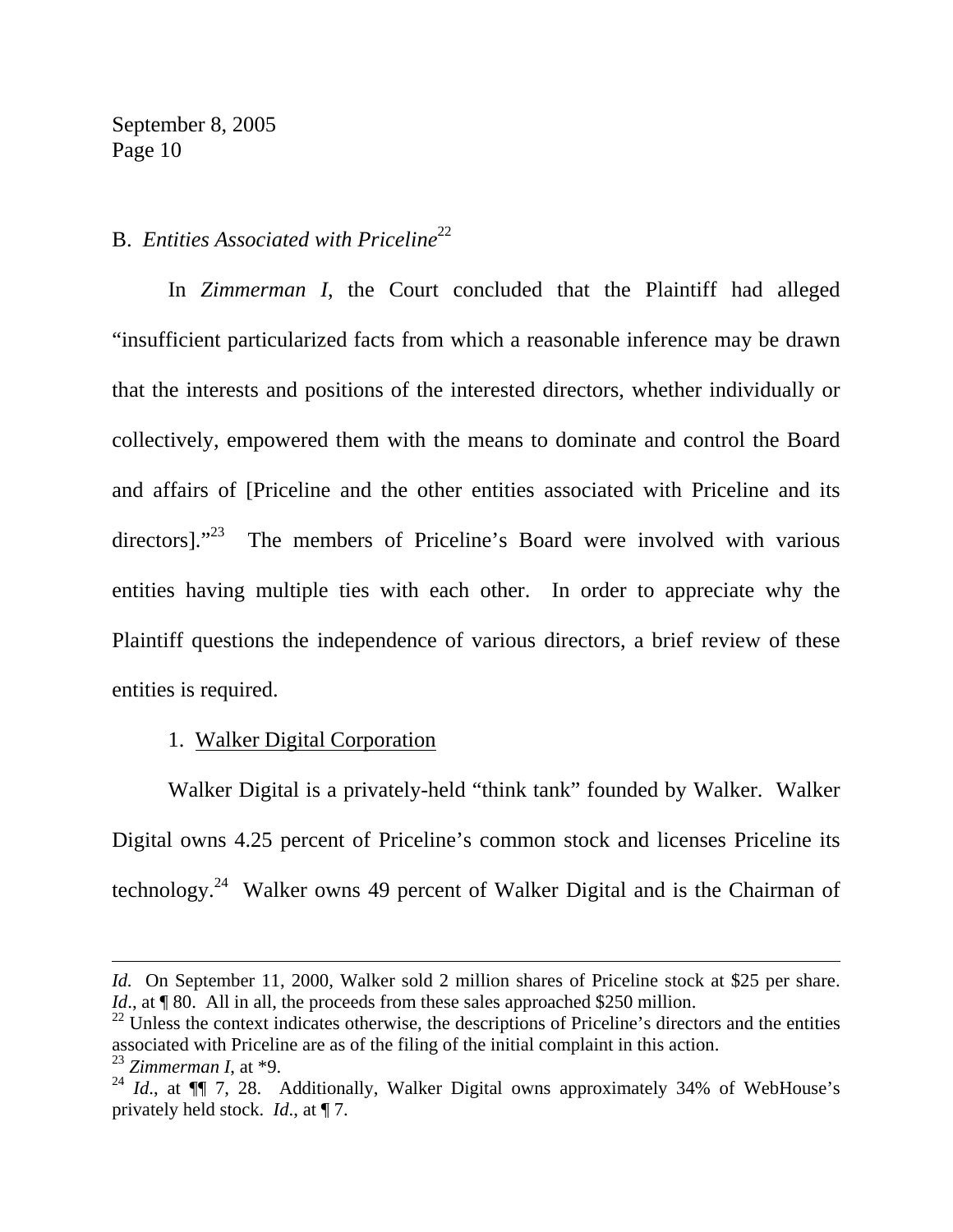# B. *Entities Associated with Priceline*<sup>22</sup>

 In *Zimmerman I*, the Court concluded that the Plaintiff had alleged "insufficient particularized facts from which a reasonable inference may be drawn that the interests and positions of the interested directors, whether individually or collectively, empowered them with the means to dominate and control the Board and affairs of [Priceline and the other entities associated with Priceline and its directors]."<sup>23</sup> The members of Priceline's Board were involved with various entities having multiple ties with each other. In order to appreciate why the Plaintiff questions the independence of various directors, a brief review of these entities is required.

## 1. Walker Digital Corporation

Walker Digital is a privately-held "think tank" founded by Walker. Walker Digital owns 4.25 percent of Priceline's common stock and licenses Priceline its technology.<sup>24</sup> Walker owns 49 percent of Walker Digital and is the Chairman of

*Id.* On September 11, 2000, Walker sold 2 million shares of Priceline stock at \$25 per share. *Id.*, at  $\P$  80. All in all, the proceeds from these sales approached \$250 million.

<sup>&</sup>lt;sup>22</sup> Unless the context indicates otherwise, the descriptions of Priceline's directors and the entities associated with Priceline are as of the filing of the initial complaint in this action.

<sup>23</sup> *Zimmerman I*, at \*9.

<sup>&</sup>lt;sup>24</sup> *Id.*, at ¶ 7, 28. Additionally, Walker Digital owns approximately 34% of WebHouse's privately held stock. *Id*., at ¶ 7.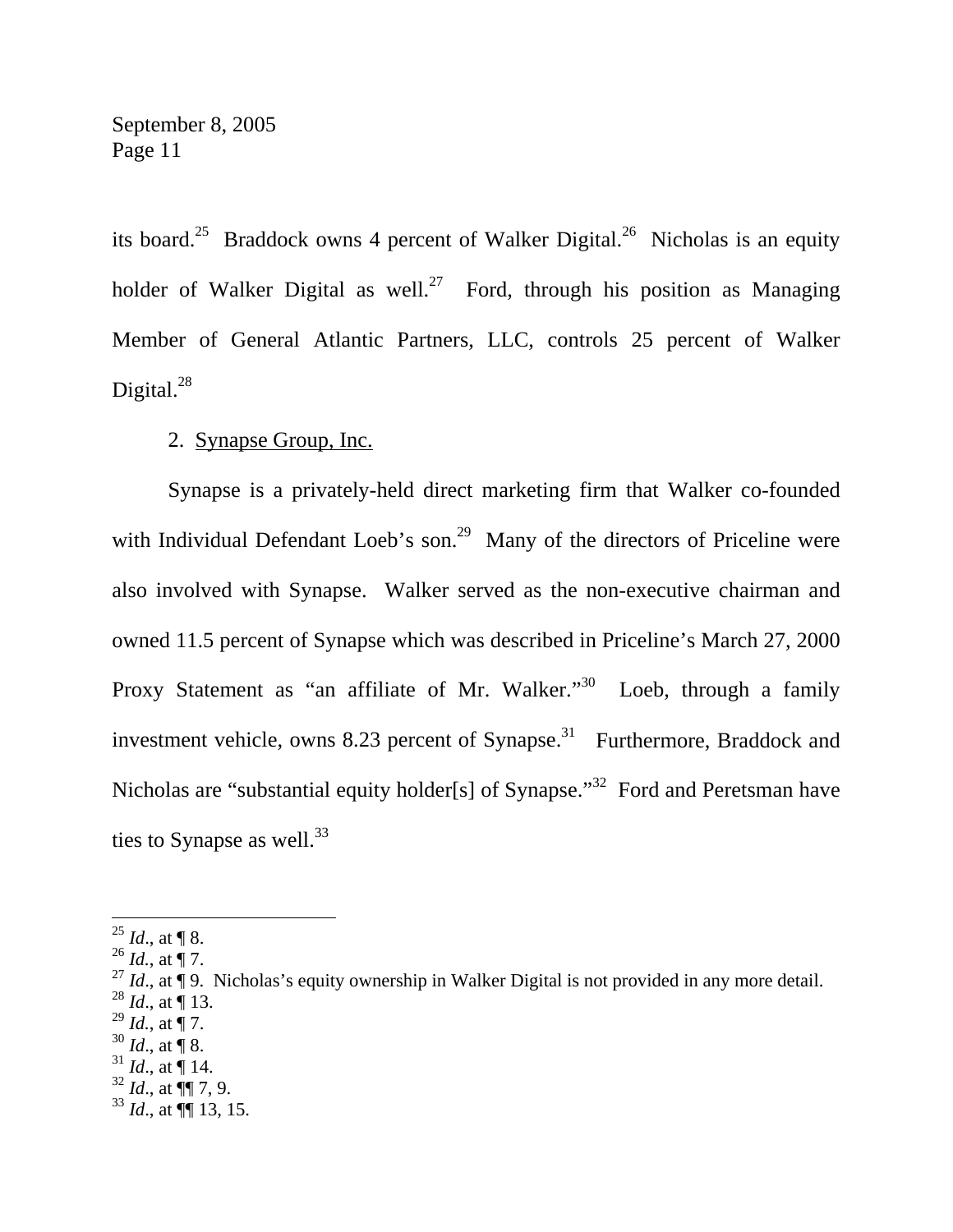its board.<sup>25</sup> Braddock owns 4 percent of Walker Digital.<sup>26</sup> Nicholas is an equity holder of Walker Digital as well.<sup>27</sup> Ford, through his position as Managing Member of General Atlantic Partners, LLC, controls 25 percent of Walker Digital. $^{28}$ 

## 2. Synapse Group, Inc.

Synapse is a privately-held direct marketing firm that Walker co-founded with Individual Defendant Loeb's son.<sup>29</sup> Many of the directors of Priceline were also involved with Synapse. Walker served as the non-executive chairman and owned 11.5 percent of Synapse which was described in Priceline's March 27, 2000 Proxy Statement as "an affiliate of Mr. Walker."<sup>30</sup> Loeb, through a family investment vehicle, owns 8.23 percent of Synapse.<sup>31</sup> Furthermore, Braddock and Nicholas are "substantial equity holder[s] of Synapse."<sup>32</sup> Ford and Peretsman have ties to Synapse as well. $^{33}$ 

- $^{28}$  *Id.*, at  $\overline{9}$  13.
- $^{29}$  *Id.*, at ¶ 7.
- $30$  *Id.*, at **| 8.**
- $31$  *Id.*, at  $\P$  14.
- $32$  *Id.*, at **¶** 7, 9.

 $^{25}$  *Id.*, at ¶ 8.

 $^{26}$  *Id.*, at ¶ 7.

<sup>&</sup>lt;sup>27</sup> *Id.*, at  $\hat{\mathbb{I}}$  9. Nicholas's equity ownership in Walker Digital is not provided in any more detail.

<sup>33</sup> *Id*., at ¶¶ 13, 15.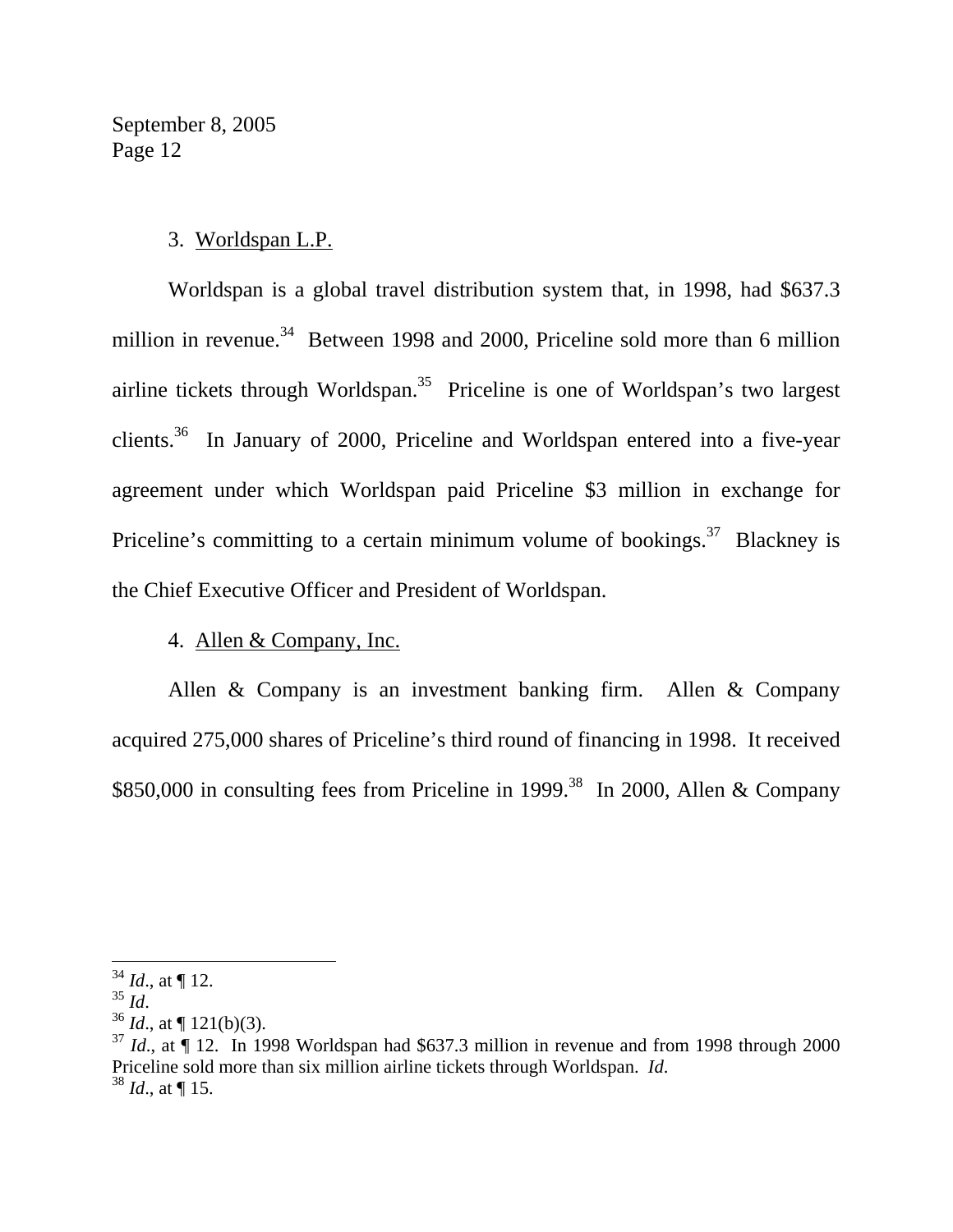## 3. Worldspan L.P.

Worldspan is a global travel distribution system that, in 1998, had \$637.3 million in revenue.<sup>34</sup> Between 1998 and 2000, Priceline sold more than 6 million airline tickets through Worldspan.<sup>35</sup> Priceline is one of Worldspan's two largest clients.36 In January of 2000, Priceline and Worldspan entered into a five-year agreement under which Worldspan paid Priceline \$3 million in exchange for Priceline's committing to a certain minimum volume of bookings.<sup>37</sup> Blackney is the Chief Executive Officer and President of Worldspan.

# 4. Allen & Company, Inc.

Allen & Company is an investment banking firm. Allen & Company acquired 275,000 shares of Priceline's third round of financing in 1998. It received \$850,000 in consulting fees from Priceline in 1999.<sup>38</sup> In 2000, Allen & Company

 $34$  *Id.*, at  $\P$  12.

<sup>35</sup> *Id*. 36 *Id*., at ¶ 121(b)(3).

 $37$  *Id.*, at  $\sqrt{\phantom{a}}$  12. In 1998 Worldspan had \$637.3 million in revenue and from 1998 through 2000 Priceline sold more than six million airline tickets through Worldspan. *Id*. <sup>38</sup> *Id*., at ¶ 15.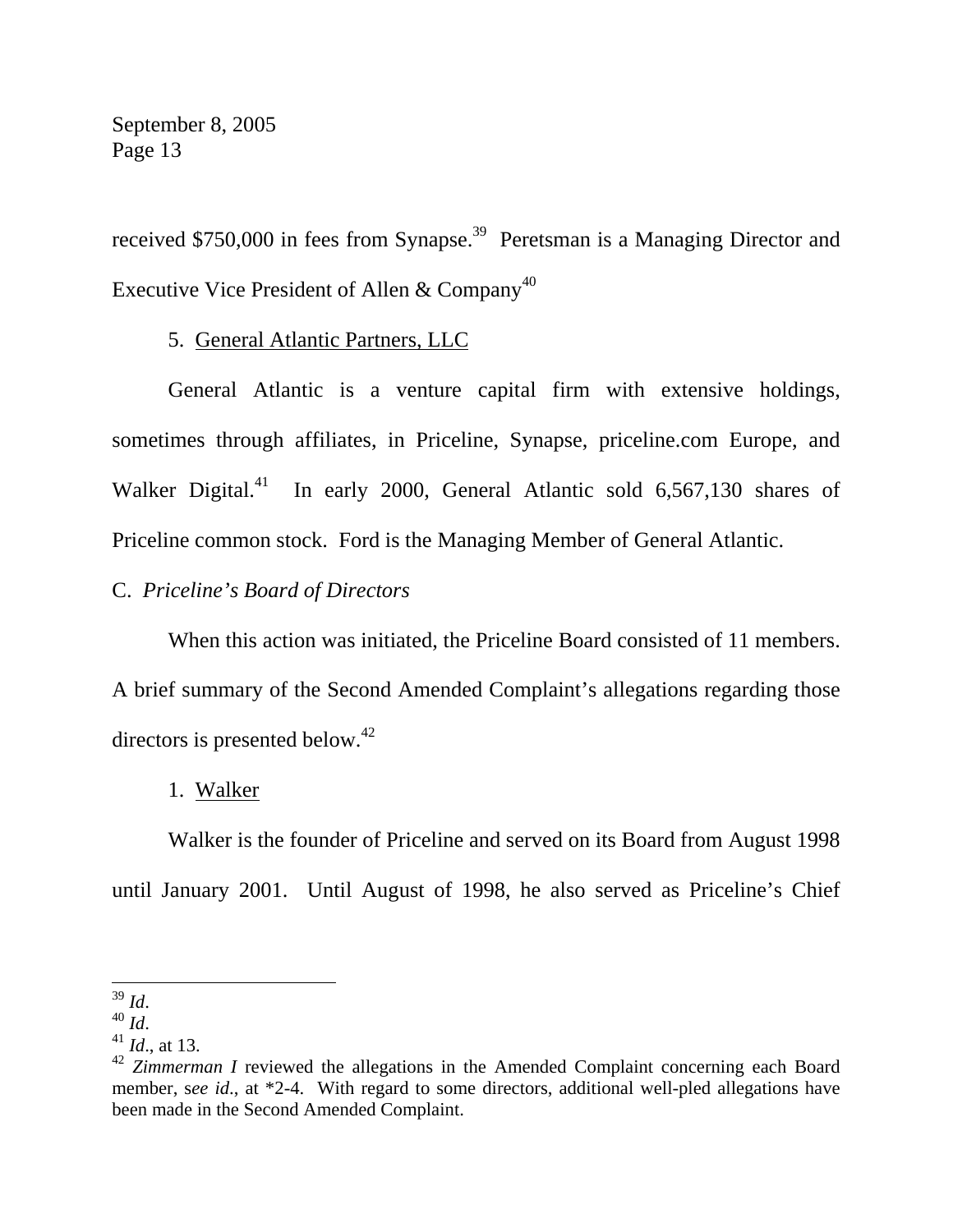received \$750,000 in fees from Synapse.<sup>39</sup> Peretsman is a Managing Director and Executive Vice President of Allen & Company<sup>40</sup>

# 5. General Atlantic Partners, LLC

General Atlantic is a venture capital firm with extensive holdings, sometimes through affiliates, in Priceline, Synapse, priceline.com Europe, and Walker Digital.<sup>41</sup> In early 2000, General Atlantic sold  $6,567,130$  shares of Priceline common stock. Ford is the Managing Member of General Atlantic.

# C. *Priceline's Board of Directors*

When this action was initiated, the Priceline Board consisted of 11 members.

A brief summary of the Second Amended Complaint's allegations regarding those directors is presented below.<sup>42</sup>

## 1. Walker

Walker is the founder of Priceline and served on its Board from August 1998 until January 2001. Until August of 1998, he also served as Priceline's Chief

 $39$  *Id.* 

<sup>39</sup> *Id*. 40 *Id*. 41 *Id*., at 13.

<sup>&</sup>lt;sup>42</sup> Zimmerman I reviewed the allegations in the Amended Complaint concerning each Board member, s*ee id*., at \*2-4. With regard to some directors, additional well-pled allegations have been made in the Second Amended Complaint.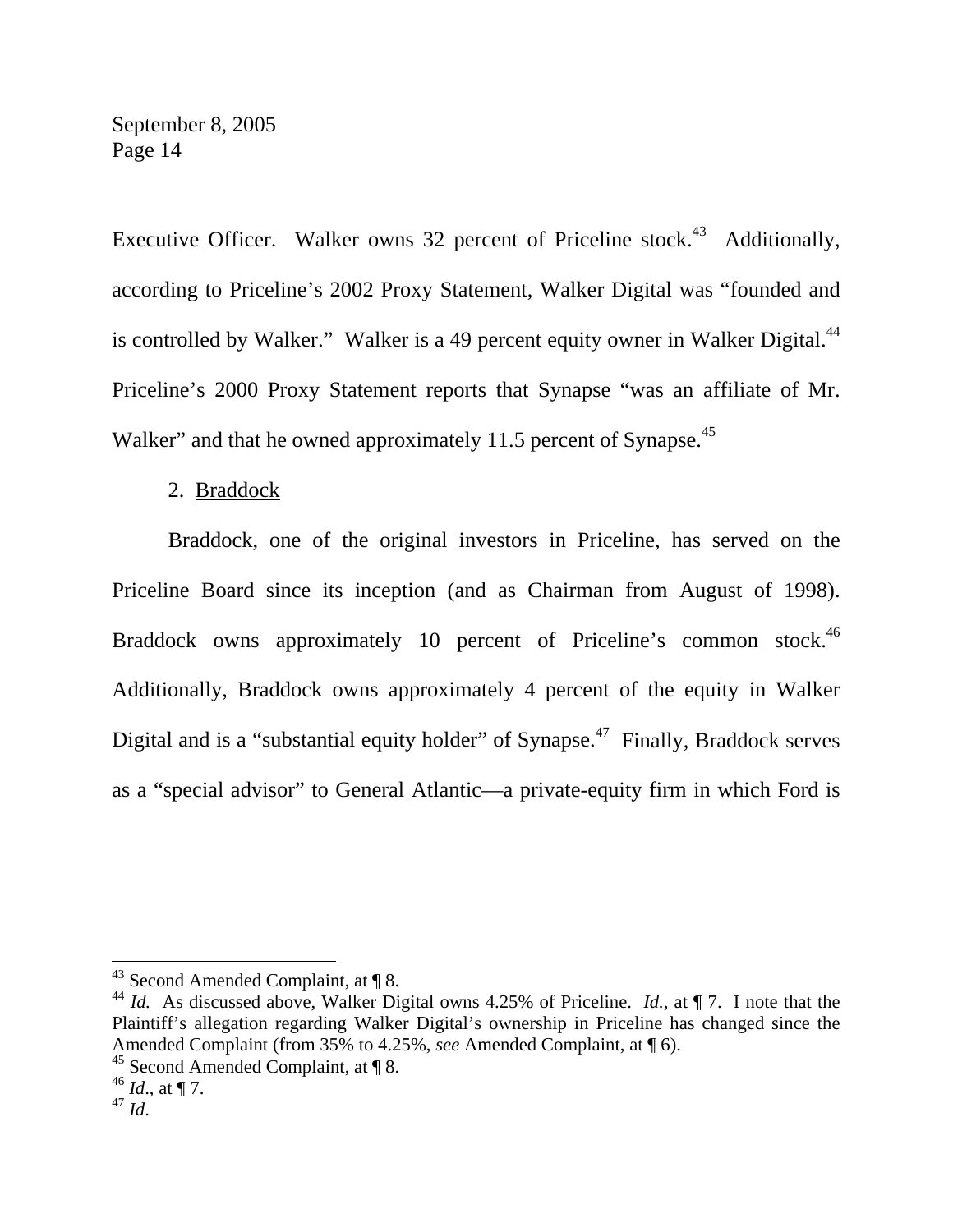Executive Officer. Walker owns 32 percent of Priceline stock.<sup>43</sup> Additionally, according to Priceline's 2002 Proxy Statement, Walker Digital was "founded and is controlled by Walker." Walker is a 49 percent equity owner in Walker Digital.<sup>44</sup> Priceline's 2000 Proxy Statement reports that Synapse "was an affiliate of Mr. Walker" and that he owned approximately 11.5 percent of Synapse.<sup>45</sup>

# 2. Braddock

Braddock, one of the original investors in Priceline, has served on the Priceline Board since its inception (and as Chairman from August of 1998). Braddock owns approximately 10 percent of Priceline's common stock.<sup>46</sup> Additionally, Braddock owns approximately 4 percent of the equity in Walker Digital and is a "substantial equity holder" of Synapse.<sup>47</sup> Finally, Braddock serves as a "special advisor" to General Atlantic—a private-equity firm in which Ford is

 $43$  Second Amended Complaint, at  $\P$  8.

<sup>&</sup>lt;sup>44</sup> *Id.* As discussed above, Walker Digital owns 4.25% of Priceline. *Id.*, at  $\P$  7. I note that the Plaintiff's allegation regarding Walker Digital's ownership in Priceline has changed since the Amended Complaint (from 35% to 4.25%, *see* Amended Complaint, at ¶ 6).

<sup>&</sup>lt;sup>45</sup> Second Amended Complaint, at  $\P$  8.

 $^{46}$  *Id.*, at ¶ 7.

<sup>47</sup> *Id*.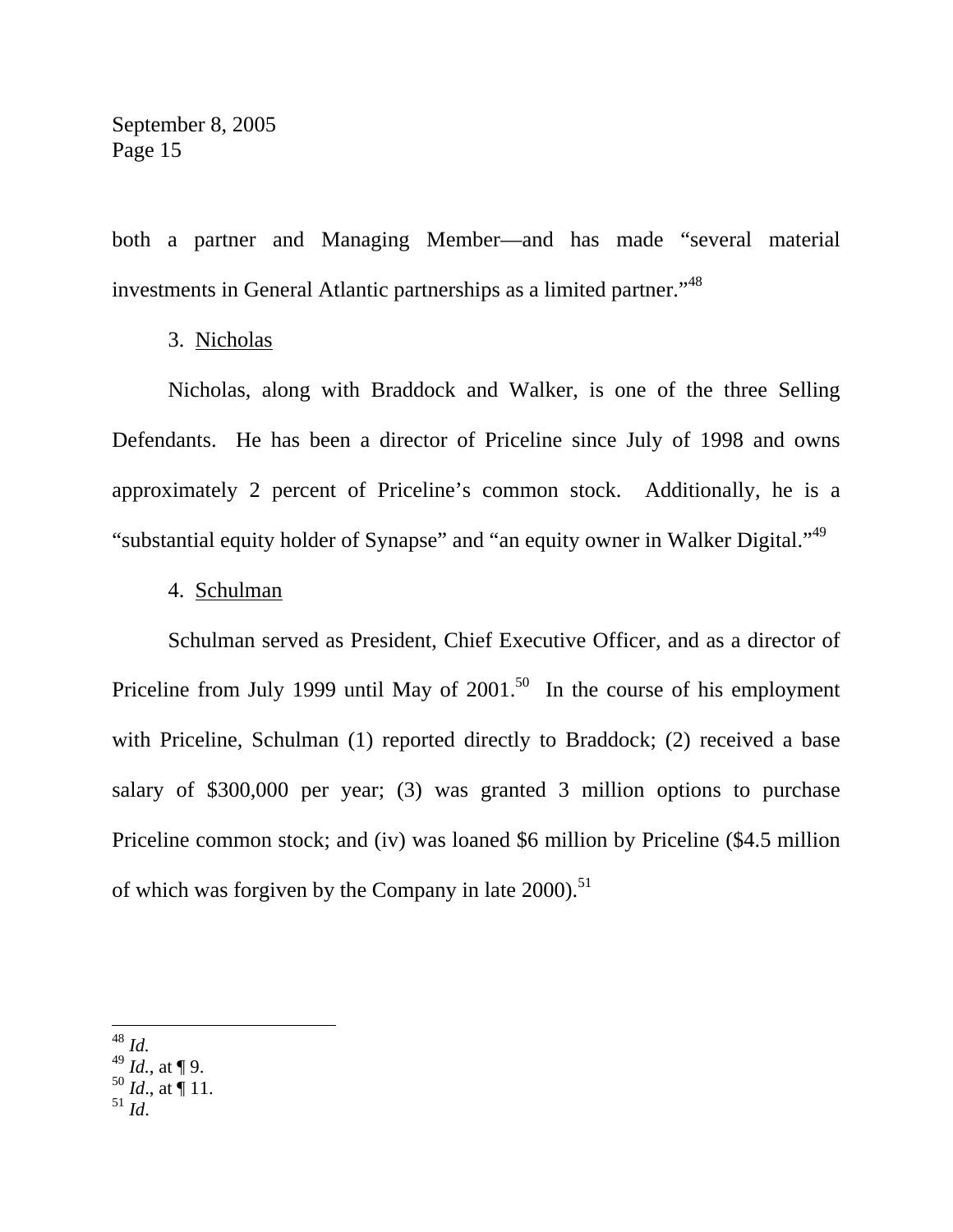both a partner and Managing Member—and has made "several material investments in General Atlantic partnerships as a limited partner."<sup>48</sup>

3. Nicholas

Nicholas, along with Braddock and Walker, is one of the three Selling Defendants. He has been a director of Priceline since July of 1998 and owns approximately 2 percent of Priceline's common stock. Additionally, he is a "substantial equity holder of Synapse" and "an equity owner in Walker Digital."<sup>49</sup>

4. Schulman

Schulman served as President, Chief Executive Officer, and as a director of Priceline from July 1999 until May of  $2001$ .<sup>50</sup> In the course of his employment with Priceline, Schulman (1) reported directly to Braddock; (2) received a base salary of \$300,000 per year; (3) was granted 3 million options to purchase Priceline common stock; and (iv) was loaned \$6 million by Priceline (\$4.5 million of which was forgiven by the Company in late  $2000$ .<sup>51</sup>

<sup>48</sup> *Id.*

- <sup>49</sup> *Id.*, at ¶ 9.
- $^{50}$  *Id.*, at ¶ 11.
- $^{51}$  *Id*.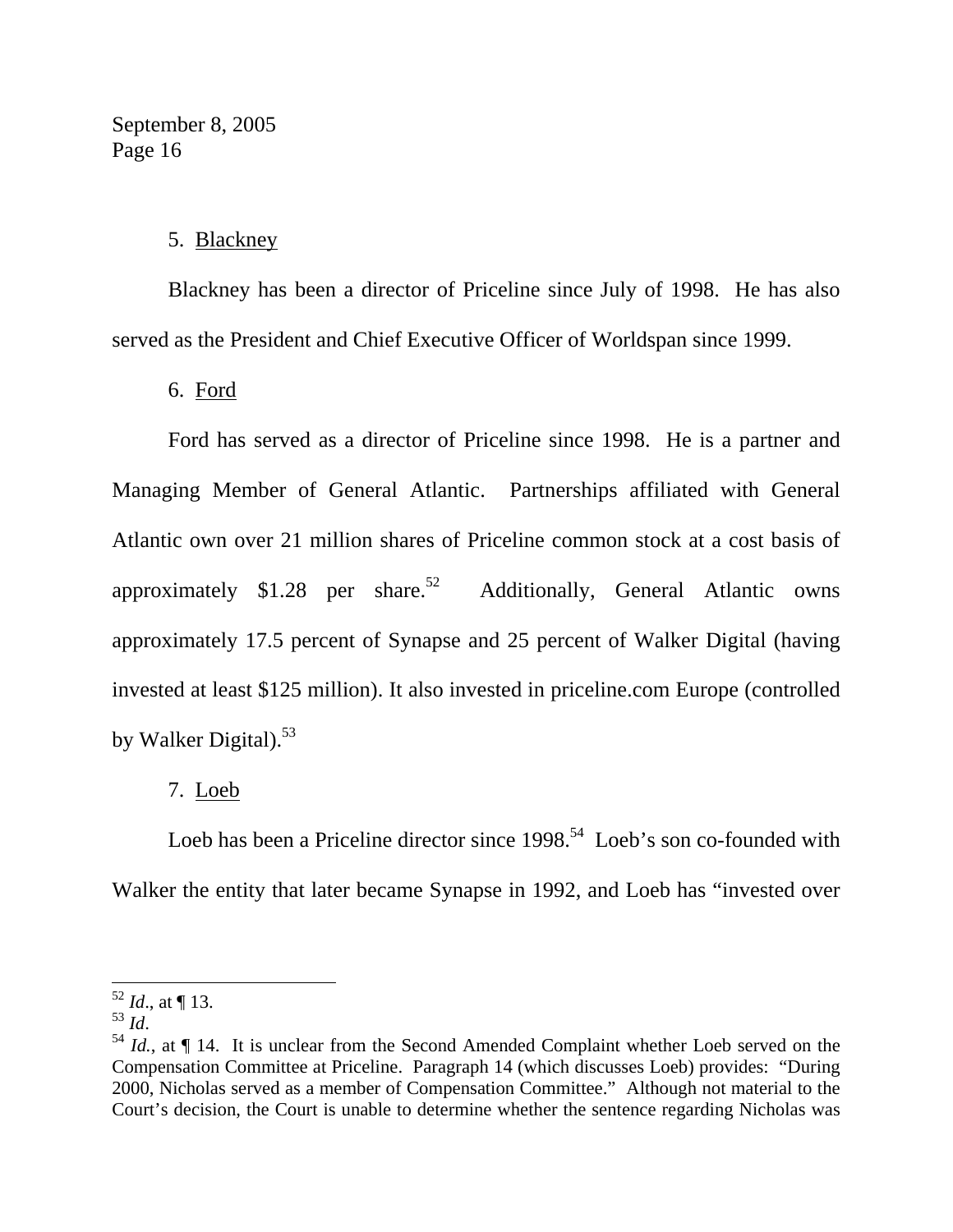### 5. Blackney

Blackney has been a director of Priceline since July of 1998. He has also served as the President and Chief Executive Officer of Worldspan since 1999.

6. Ford

Ford has served as a director of Priceline since 1998. He is a partner and Managing Member of General Atlantic. Partnerships affiliated with General Atlantic own over 21 million shares of Priceline common stock at a cost basis of approximately \$1.28 per share.<sup>52</sup> Additionally, General Atlantic owns approximately 17.5 percent of Synapse and 25 percent of Walker Digital (having invested at least \$125 million). It also invested in priceline.com Europe (controlled by Walker Digital).<sup>53</sup>

## 7. Loeb

Loeb has been a Priceline director since  $1998<sup>54</sup>$  Loeb's son co-founded with Walker the entity that later became Synapse in 1992, and Loeb has "invested over

 $\frac{52}{53}$  *Id.*, at ¶ 13.

<sup>53</sup> *Id*. 54 *Id.*, at ¶ 14. It is unclear from the Second Amended Complaint whether Loeb served on the Compensation Committee at Priceline. Paragraph 14 (which discusses Loeb) provides: "During 2000, Nicholas served as a member of Compensation Committee." Although not material to the Court's decision, the Court is unable to determine whether the sentence regarding Nicholas was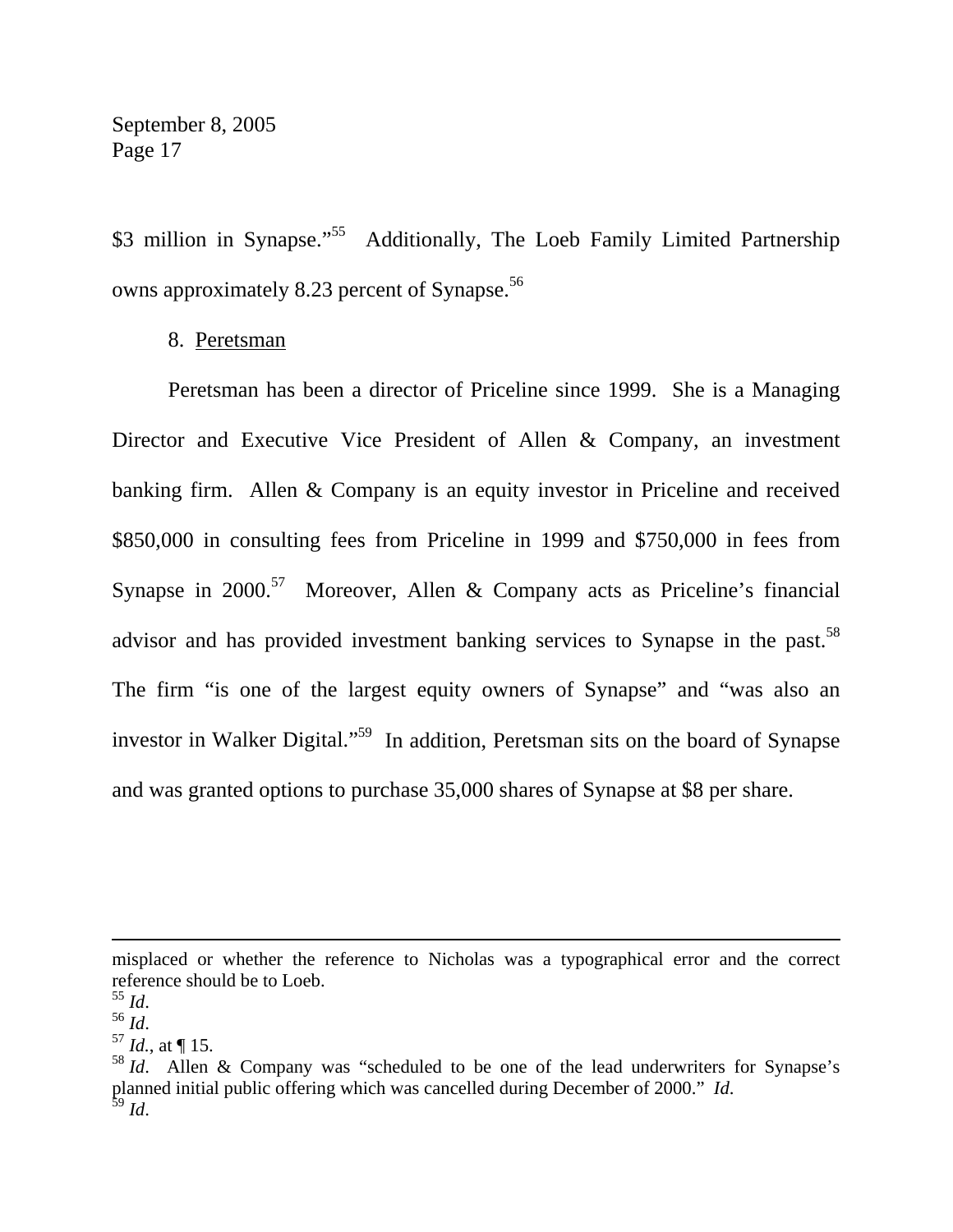\$3 million in Synapse."<sup>55</sup> Additionally, The Loeb Family Limited Partnership owns approximately 8.23 percent of Synapse.<sup>56</sup>

8. Peretsman

Peretsman has been a director of Priceline since 1999. She is a Managing Director and Executive Vice President of Allen & Company, an investment banking firm. Allen & Company is an equity investor in Priceline and received \$850,000 in consulting fees from Priceline in 1999 and \$750,000 in fees from Synapse in 2000.<sup>57</sup> Moreover, Allen & Company acts as Priceline's financial advisor and has provided investment banking services to Synapse in the past.<sup>58</sup> The firm "is one of the largest equity owners of Synapse" and "was also an investor in Walker Digital."<sup>59</sup> In addition, Peretsman sits on the board of Synapse and was granted options to purchase 35,000 shares of Synapse at \$8 per share.

misplaced or whether the reference to Nicholas was a typographical error and the correct reference should be to Loeb.<br> $^{55}$  *Id.* 

<sup>55</sup> *Id*. 56 *Id*. 57 *Id.*, at ¶ 15.

<sup>58</sup> *Id*. Allen & Company was "scheduled to be one of the lead underwriters for Synapse's planned initial public offering which was cancelled during December of 2000." *Id*. 59 *Id*.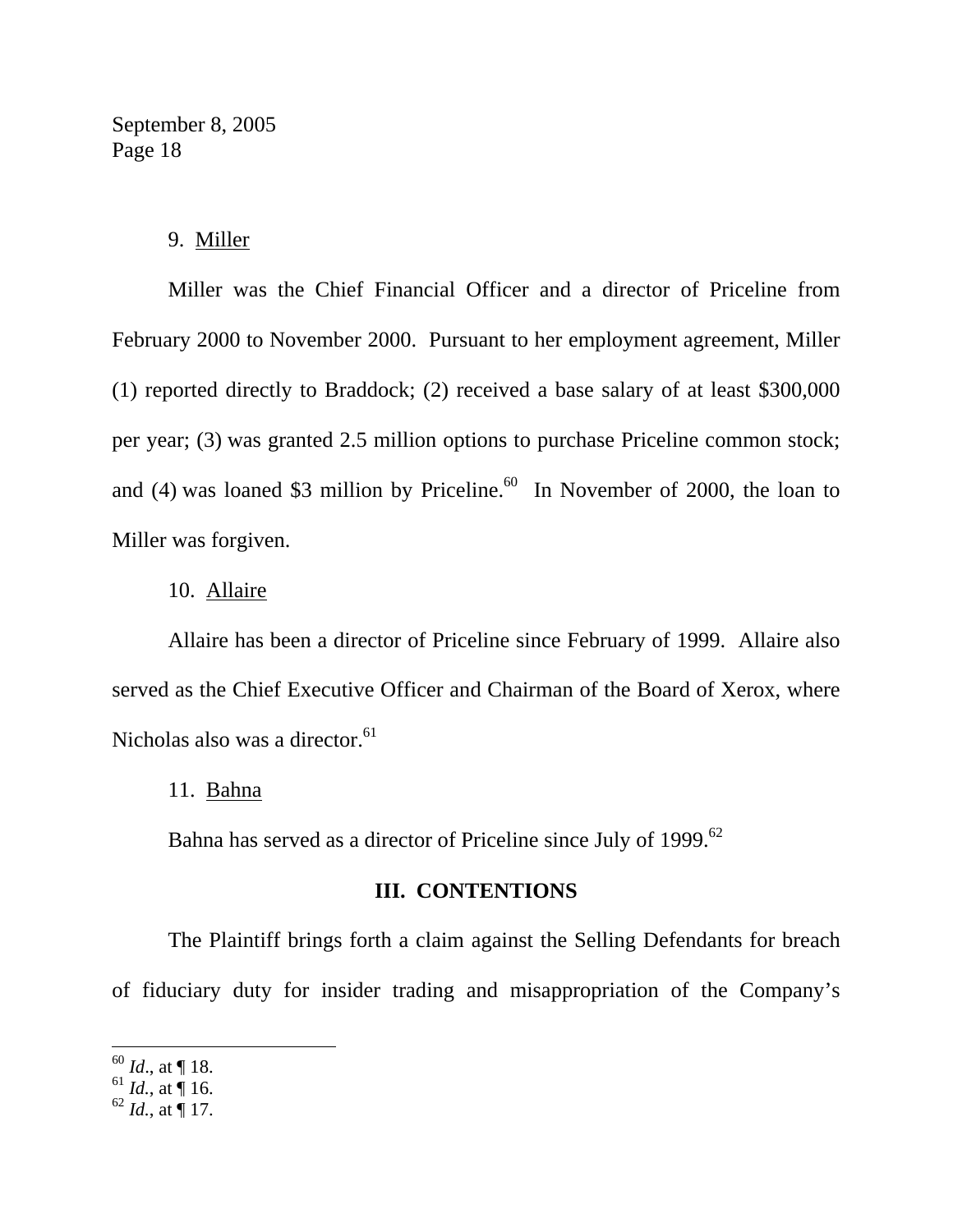#### 9. Miller

Miller was the Chief Financial Officer and a director of Priceline from February 2000 to November 2000. Pursuant to her employment agreement, Miller (1) reported directly to Braddock; (2) received a base salary of at least \$300,000 per year; (3) was granted 2.5 million options to purchase Priceline common stock; and (4) was loaned \$3 million by Priceline.<sup>60</sup> In November of 2000, the loan to Miller was forgiven.

# 10. Allaire

Allaire has been a director of Priceline since February of 1999. Allaire also served as the Chief Executive Officer and Chairman of the Board of Xerox, where Nicholas also was a director.<sup>61</sup>

#### 11. Bahna

Bahna has served as a director of Priceline since July of 1999.<sup>62</sup>

## **III. CONTENTIONS**

 The Plaintiff brings forth a claim against the Selling Defendants for breach of fiduciary duty for insider trading and misappropriation of the Company's

<sup>60</sup> *Id*., at ¶ 18.

 $^{61}$  *Id.*, at  $\overline{\P}$  16.

 $^{62}$  *Id.*, at  $\frac{1}{9}$  17.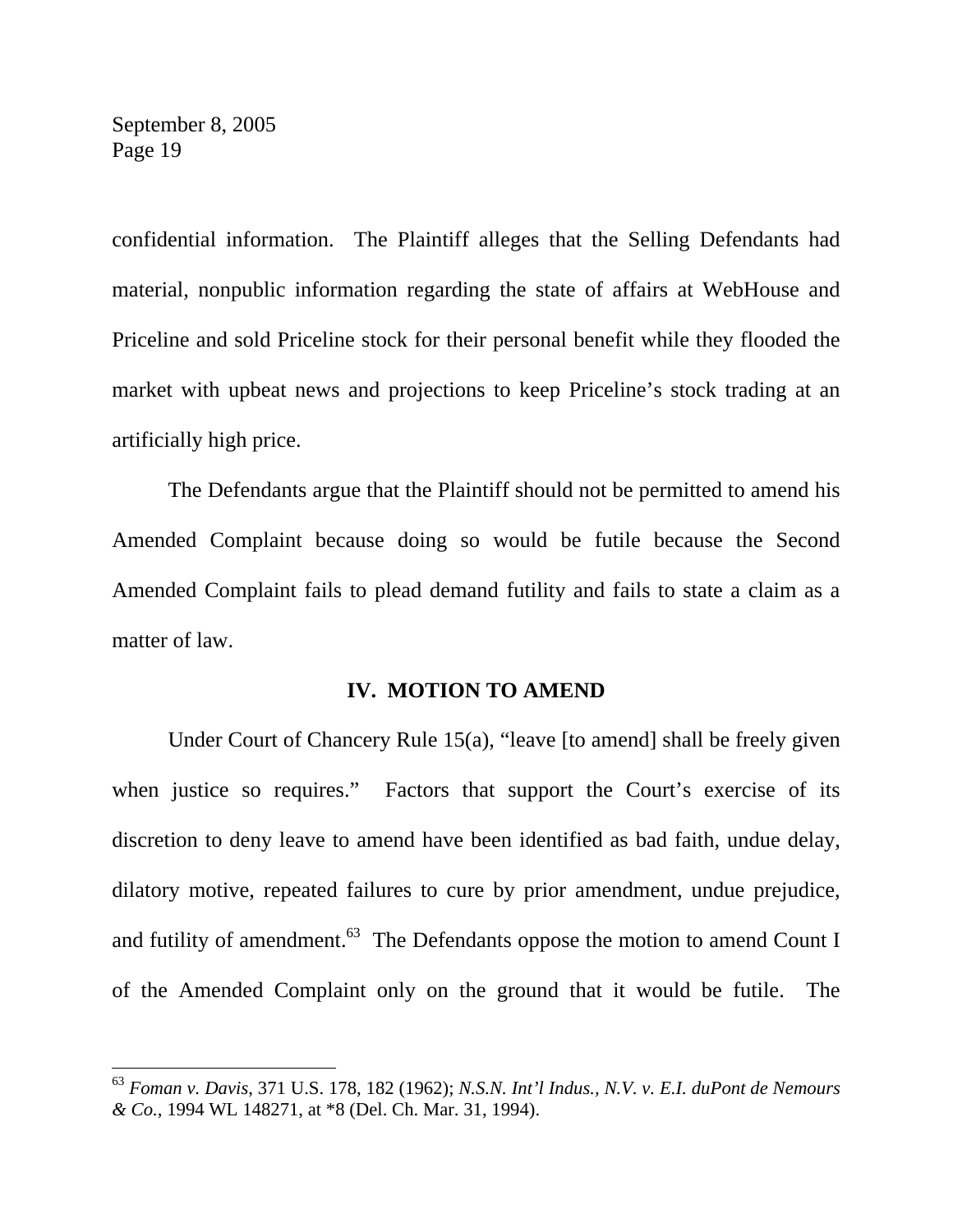$\overline{a}$ 

confidential information. The Plaintiff alleges that the Selling Defendants had material, nonpublic information regarding the state of affairs at WebHouse and Priceline and sold Priceline stock for their personal benefit while they flooded the market with upbeat news and projections to keep Priceline's stock trading at an artificially high price.

 The Defendants argue that the Plaintiff should not be permitted to amend his Amended Complaint because doing so would be futile because the Second Amended Complaint fails to plead demand futility and fails to state a claim as a matter of law.

### **IV. MOTION TO AMEND**

 Under Court of Chancery Rule 15(a), "leave [to amend] shall be freely given when justice so requires." Factors that support the Court's exercise of its discretion to deny leave to amend have been identified as bad faith, undue delay, dilatory motive, repeated failures to cure by prior amendment, undue prejudice, and futility of amendment.<sup>63</sup> The Defendants oppose the motion to amend Count I of the Amended Complaint only on the ground that it would be futile. The

<sup>63</sup> *Foman v. Davis*, 371 U.S. 178, 182 (1962); *N.S.N. Int'l Indus., N.V. v. E.I. duPont de Nemours & Co.*, 1994 WL 148271, at \*8 (Del. Ch. Mar. 31, 1994).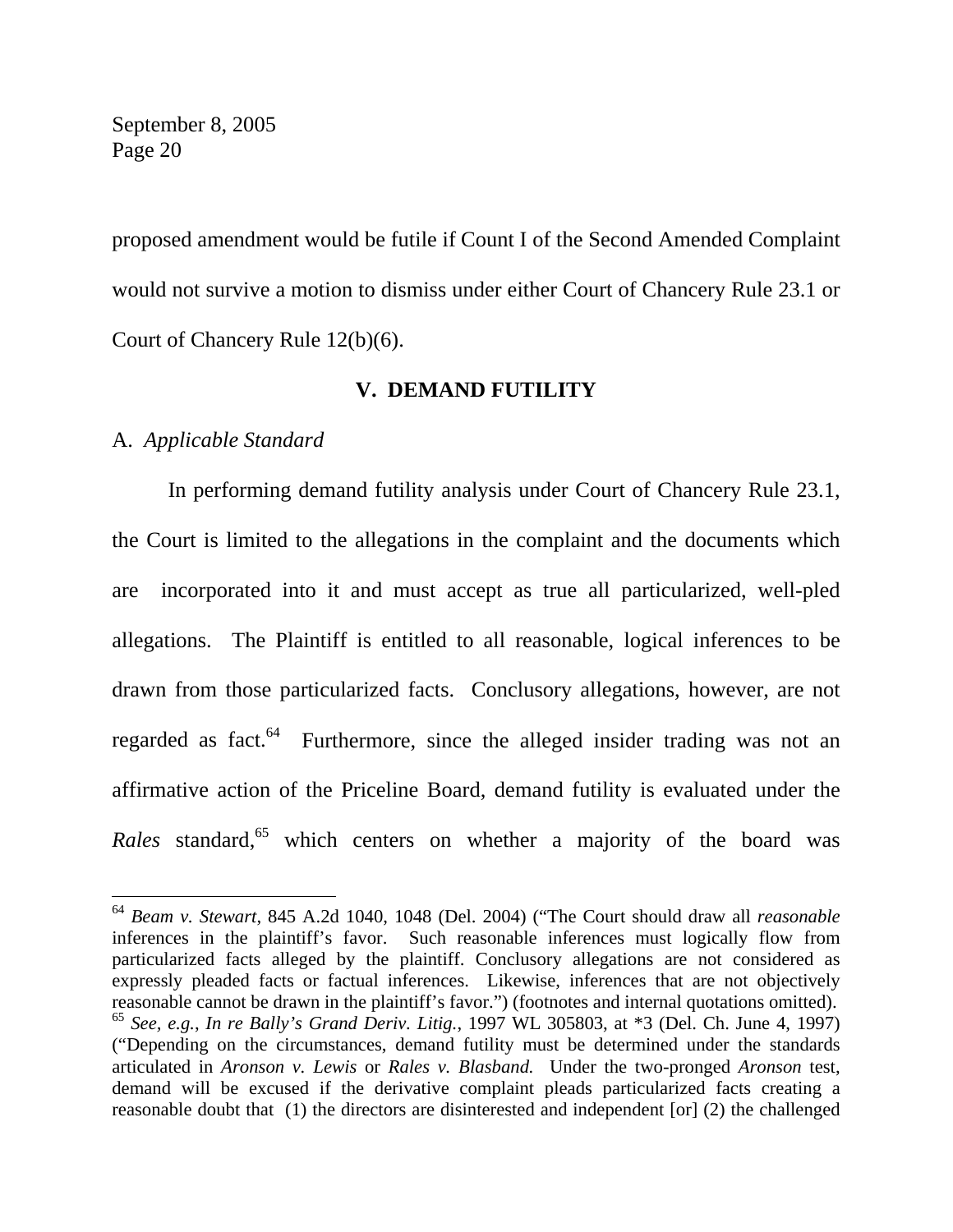proposed amendment would be futile if Count I of the Second Amended Complaint would not survive a motion to dismiss under either Court of Chancery Rule 23.1 or Court of Chancery Rule 12(b)(6).

## **V. DEMAND FUTILITY**

# A. *Applicable Standard*

 $\overline{a}$ 

In performing demand futility analysis under Court of Chancery Rule 23.1, the Court is limited to the allegations in the complaint and the documents which are incorporated into it and must accept as true all particularized, well-pled allegations. The Plaintiff is entitled to all reasonable, logical inferences to be drawn from those particularized facts. Conclusory allegations, however, are not regarded as fact.<sup>64</sup> Furthermore, since the alleged insider trading was not an affirmative action of the Priceline Board, demand futility is evaluated under the *Rales* standard,<sup>65</sup> which centers on whether a majority of the board was

<sup>64</sup> *Beam v. Stewart*, 845 A.2d 1040, 1048 (Del. 2004) ("The Court should draw all *reasonable* inferences in the plaintiff's favor. Such reasonable inferences must logically flow from particularized facts alleged by the plaintiff. Conclusory allegations are not considered as expressly pleaded facts or factual inferences. Likewise, inferences that are not objectively reasonable cannot be drawn in the plaintiff's favor.") (footnotes and internal quotations omitted). <sup>65</sup> *See, e.g.*, *In re Bally's Grand Deriv. Litig.*, 1997 WL 305803, at \*3 (Del. Ch. June 4, 1997) ("Depending on the circumstances, demand futility must be determined under the standards articulated in *Aronson v. Lewis* or *Rales v. Blasband.* Under the two-pronged *Aronson* test, demand will be excused if the derivative complaint pleads particularized facts creating a reasonable doubt that (1) the directors are disinterested and independent [or] (2) the challenged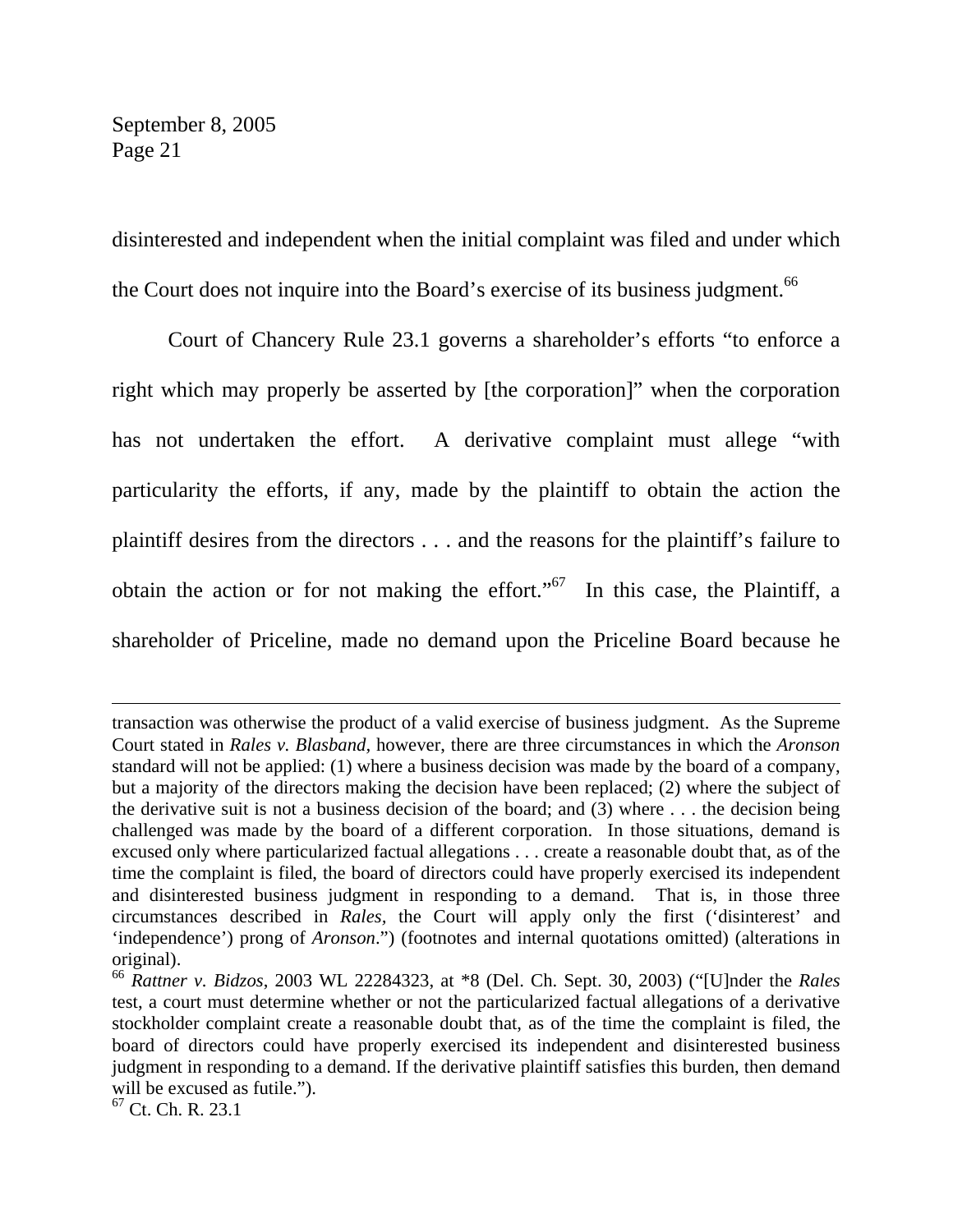disinterested and independent when the initial complaint was filed and under which the Court does not inquire into the Board's exercise of its business judgment.<sup>66</sup>

 Court of Chancery Rule 23.1 governs a shareholder's efforts "to enforce a right which may properly be asserted by [the corporation]" when the corporation has not undertaken the effort. A derivative complaint must allege "with particularity the efforts, if any, made by the plaintiff to obtain the action the plaintiff desires from the directors . . . and the reasons for the plaintiff's failure to obtain the action or for not making the effort."<sup>67</sup> In this case, the Plaintiff, a shareholder of Priceline, made no demand upon the Priceline Board because he

transaction was otherwise the product of a valid exercise of business judgment. As the Supreme Court stated in *Rales v. Blasband,* however, there are three circumstances in which the *Aronson* standard will not be applied: (1) where a business decision was made by the board of a company, but a majority of the directors making the decision have been replaced; (2) where the subject of the derivative suit is not a business decision of the board; and (3) where . . . the decision being challenged was made by the board of a different corporation. In those situations, demand is excused only where particularized factual allegations . . . create a reasonable doubt that, as of the time the complaint is filed, the board of directors could have properly exercised its independent and disinterested business judgment in responding to a demand. That is, in those three circumstances described in *Rales,* the Court will apply only the first ('disinterest' and 'independence') prong of *Aronson*.") (footnotes and internal quotations omitted) (alterations in original).

<sup>66</sup> *Rattner v. Bidzos*, 2003 WL 22284323, at \*8 (Del. Ch. Sept. 30, 2003) ("[U]nder the *Rales* test, a court must determine whether or not the particularized factual allegations of a derivative stockholder complaint create a reasonable doubt that, as of the time the complaint is filed, the board of directors could have properly exercised its independent and disinterested business judgment in responding to a demand. If the derivative plaintiff satisfies this burden, then demand will be excused as futile.").

<sup>67</sup> Ct. Ch. R. 23.1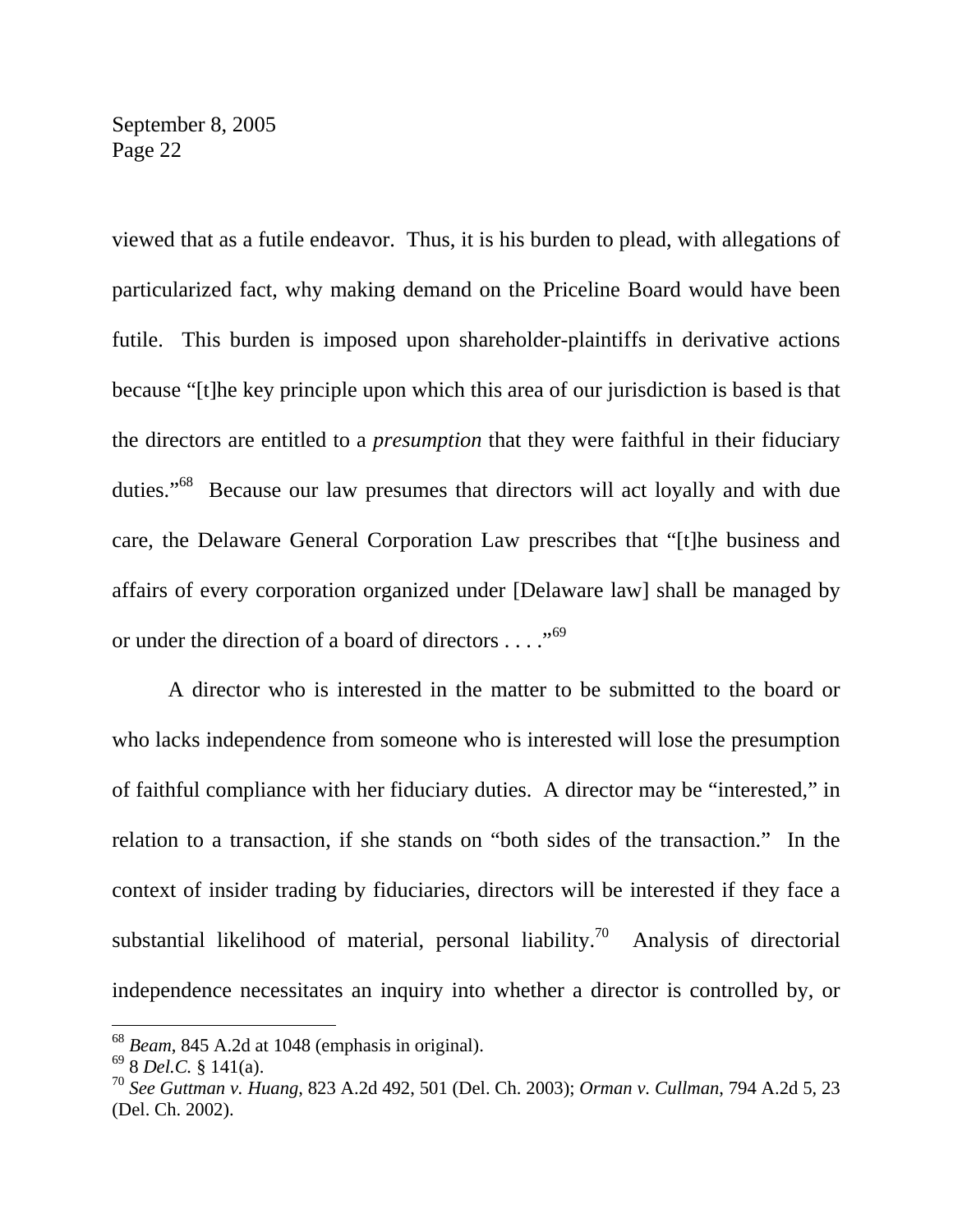viewed that as a futile endeavor. Thus, it is his burden to plead, with allegations of particularized fact, why making demand on the Priceline Board would have been futile. This burden is imposed upon shareholder-plaintiffs in derivative actions because "[t]he key principle upon which this area of our jurisdiction is based is that the directors are entitled to a *presumption* that they were faithful in their fiduciary duties."68 Because our law presumes that directors will act loyally and with due care, the Delaware General Corporation Law prescribes that "[t]he business and affairs of every corporation organized under [Delaware law] shall be managed by or under the direction of a board of directors . . . . "<sup>69</sup>

 A director who is interested in the matter to be submitted to the board or who lacks independence from someone who is interested will lose the presumption of faithful compliance with her fiduciary duties. A director may be "interested," in relation to a transaction, if she stands on "both sides of the transaction." In the context of insider trading by fiduciaries, directors will be interested if they face a substantial likelihood of material, personal liability.<sup>70</sup> Analysis of directorial independence necessitates an inquiry into whether a director is controlled by, or

<sup>68</sup> *Beam*, 845 A.2d at 1048 (emphasis in original).

<sup>69 8</sup> *Del.C.* § 141(a).

<sup>70</sup> *See Guttman v. Huang*, 823 A.2d 492, 501 (Del. Ch. 2003); *Orman v. Cullman*, 794 A.2d 5, 23 (Del. Ch. 2002).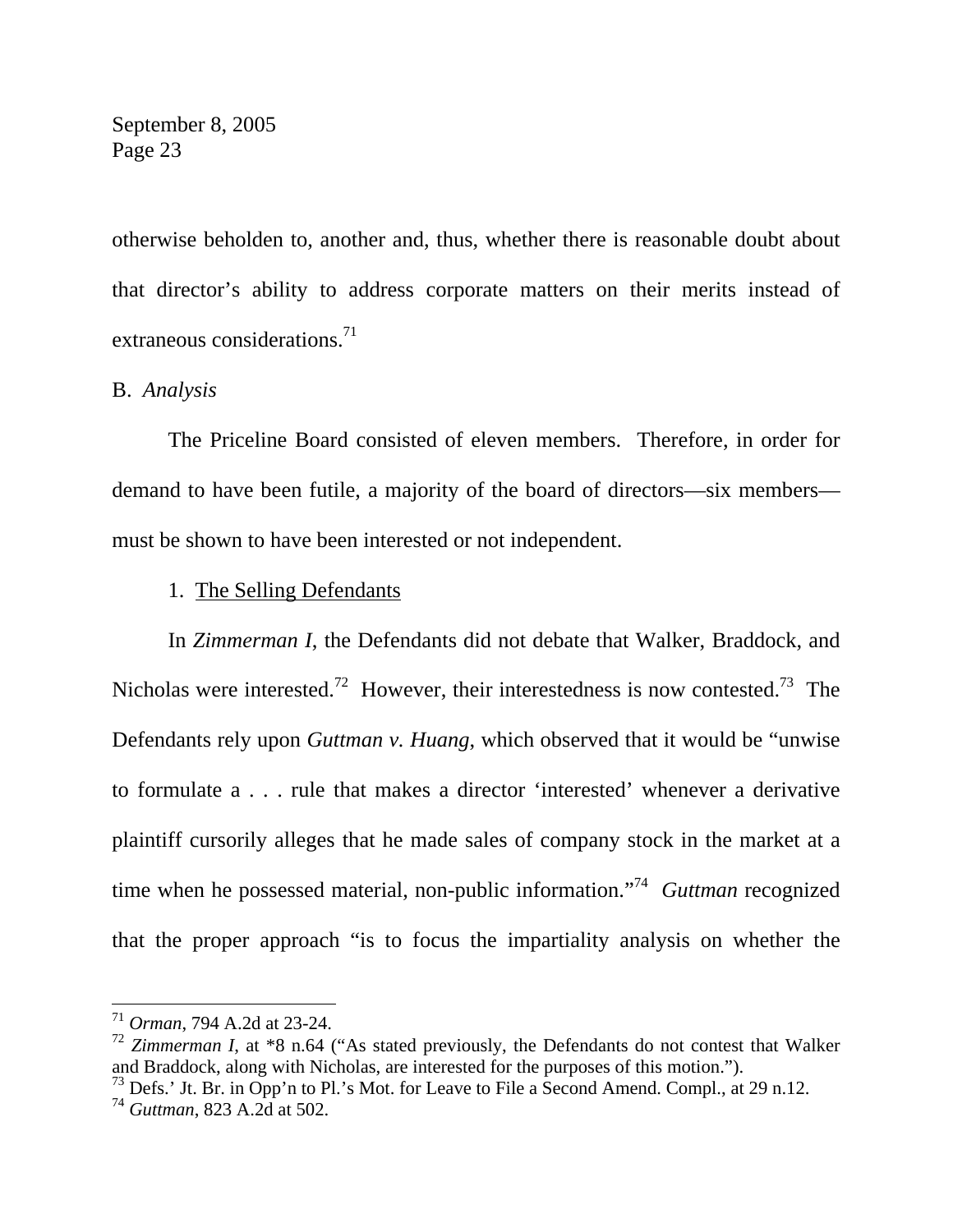otherwise beholden to, another and, thus, whether there is reasonable doubt about that director's ability to address corporate matters on their merits instead of extraneous considerations. $71$ 

## B. *Analysis*

The Priceline Board consisted of eleven members. Therefore, in order for demand to have been futile, a majority of the board of directors—six members must be shown to have been interested or not independent.

## 1. The Selling Defendants

In *Zimmerman I*, the Defendants did not debate that Walker, Braddock, and Nicholas were interested.<sup>72</sup> However, their interestedness is now contested.<sup>73</sup> The Defendants rely upon *Guttman v. Huang*, which observed that it would be "unwise to formulate a . . . rule that makes a director 'interested' whenever a derivative plaintiff cursorily alleges that he made sales of company stock in the market at a time when he possessed material, non-public information."74 *Guttman* recognized that the proper approach "is to focus the impartiality analysis on whether the

<sup>71</sup> *Orman*, 794 A.2d at 23-24.

<sup>&</sup>lt;sup>72</sup> *Zimmerman I*, at \*8 n.64 ("As stated previously, the Defendants do not contest that Walker and Braddock, along with Nicholas, are interested for the purposes of this motion.").

<sup>&</sup>lt;sup>73</sup> Defs.' Jt. Br. in Opp'n to Pl.'s Mot. for Leave to File a Second Amend. Compl., at 29 n.12.

<sup>74</sup> *Guttman*, 823 A.2d at 502.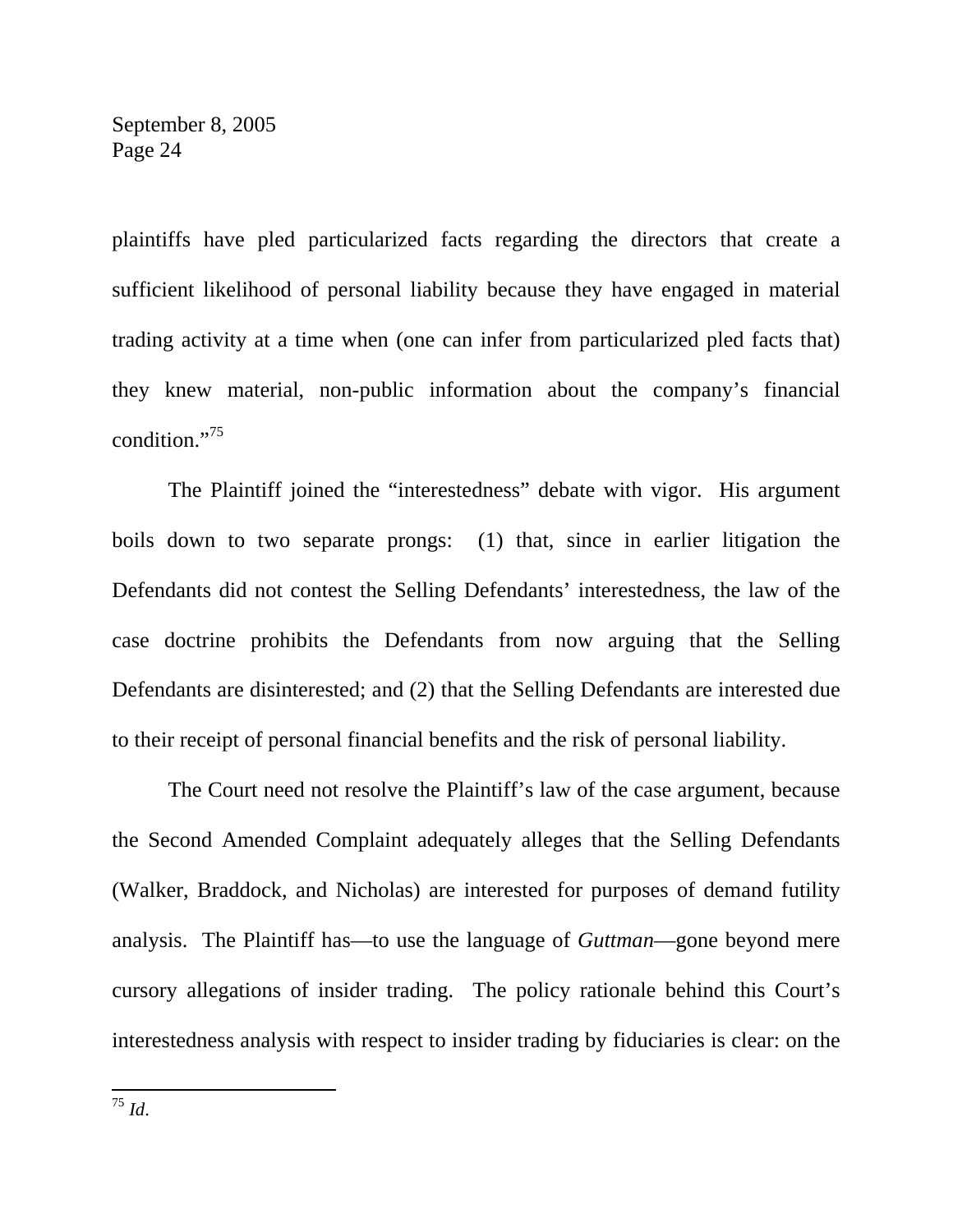plaintiffs have pled particularized facts regarding the directors that create a sufficient likelihood of personal liability because they have engaged in material trading activity at a time when (one can infer from particularized pled facts that) they knew material, non-public information about the company's financial condition."<sup>75</sup>

The Plaintiff joined the "interestedness" debate with vigor. His argument boils down to two separate prongs: (1) that, since in earlier litigation the Defendants did not contest the Selling Defendants' interestedness, the law of the case doctrine prohibits the Defendants from now arguing that the Selling Defendants are disinterested; and (2) that the Selling Defendants are interested due to their receipt of personal financial benefits and the risk of personal liability.

The Court need not resolve the Plaintiff's law of the case argument, because the Second Amended Complaint adequately alleges that the Selling Defendants (Walker, Braddock, and Nicholas) are interested for purposes of demand futility analysis. The Plaintiff has—to use the language of *Guttman*—gone beyond mere cursory allegations of insider trading. The policy rationale behind this Court's interestedness analysis with respect to insider trading by fiduciaries is clear: on the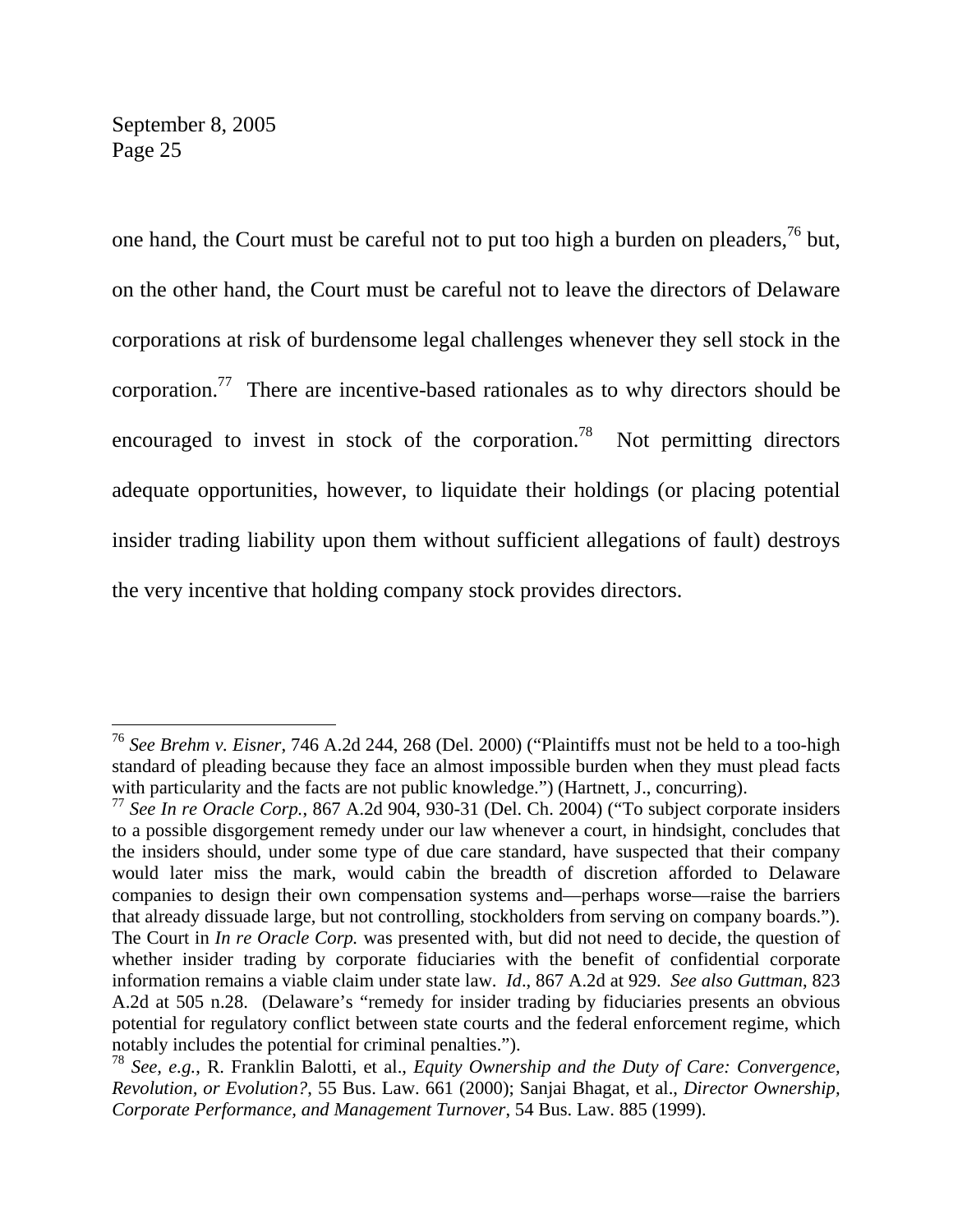$\overline{a}$ 

one hand, the Court must be careful not to put too high a burden on pleaders,  $^{76}$  but, on the other hand, the Court must be careful not to leave the directors of Delaware corporations at risk of burdensome legal challenges whenever they sell stock in the corporation.77 There are incentive-based rationales as to why directors should be encouraged to invest in stock of the corporation.<sup>78</sup> Not permitting directors adequate opportunities, however, to liquidate their holdings (or placing potential insider trading liability upon them without sufficient allegations of fault) destroys the very incentive that holding company stock provides directors.

<sup>76</sup> *See Brehm v. Eisner*, 746 A.2d 244, 268 (Del. 2000) ("Plaintiffs must not be held to a too-high standard of pleading because they face an almost impossible burden when they must plead facts with particularity and the facts are not public knowledge.") (Hartnett, J., concurring).

<sup>77</sup> *See In re Oracle Corp.*, 867 A.2d 904, 930-31 (Del. Ch. 2004) ("To subject corporate insiders to a possible disgorgement remedy under our law whenever a court, in hindsight, concludes that the insiders should, under some type of due care standard, have suspected that their company would later miss the mark, would cabin the breadth of discretion afforded to Delaware companies to design their own compensation systems and—perhaps worse—raise the barriers that already dissuade large, but not controlling, stockholders from serving on company boards."). The Court in *In re Oracle Corp.* was presented with, but did not need to decide, the question of whether insider trading by corporate fiduciaries with the benefit of confidential corporate information remains a viable claim under state law. *Id*., 867 A.2d at 929. *See also Guttman*, 823 A.2d at 505 n.28. (Delaware's "remedy for insider trading by fiduciaries presents an obvious potential for regulatory conflict between state courts and the federal enforcement regime, which notably includes the potential for criminal penalties.").

<sup>78</sup> *See, e.g.*, R. Franklin Balotti, et al., *Equity Ownership and the Duty of Care: Convergence, Revolution, or Evolution?*, 55 Bus. Law. 661 (2000); Sanjai Bhagat, et al., *Director Ownership, Corporate Performance, and Management Turnover*, 54 Bus. Law. 885 (1999).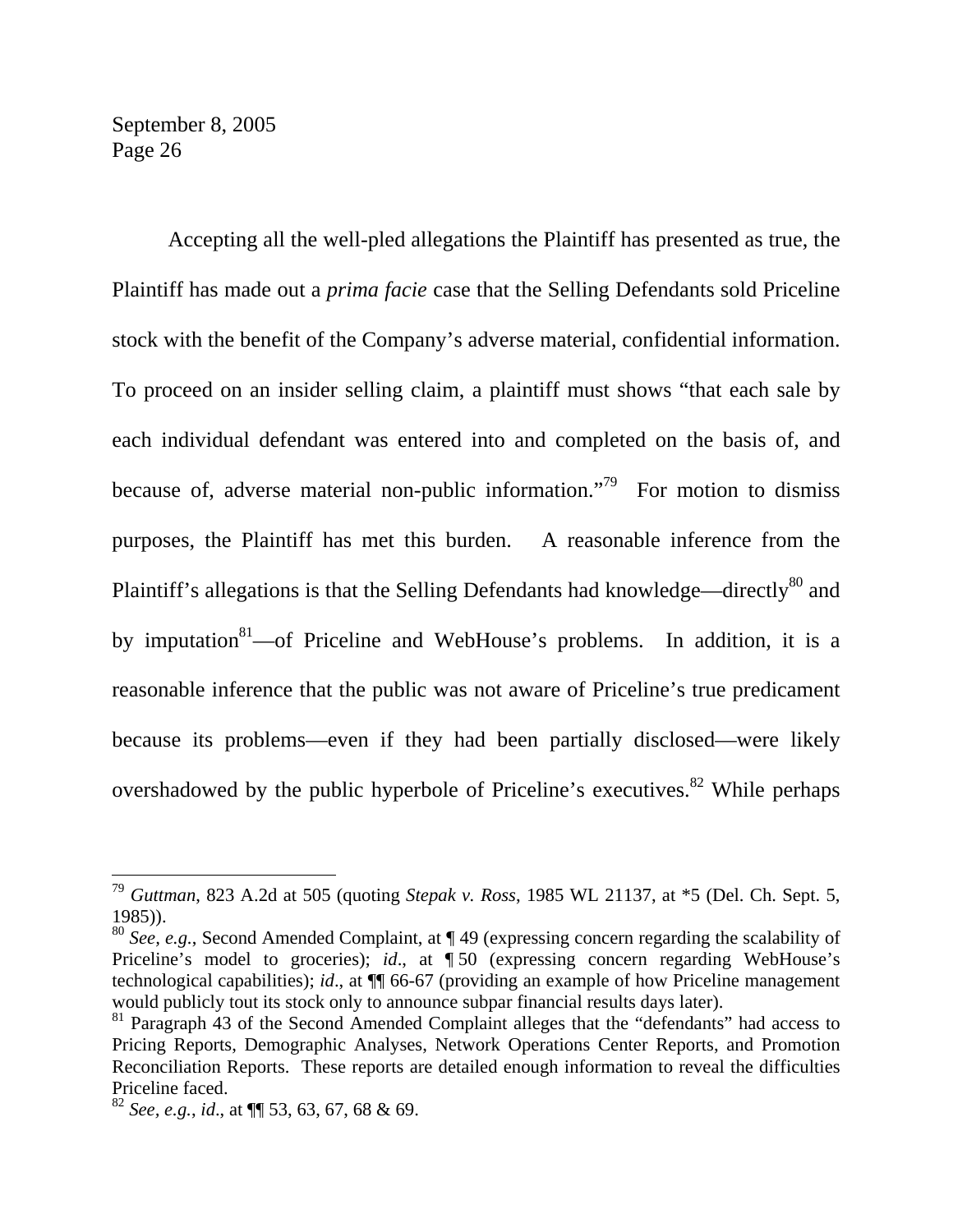Accepting all the well-pled allegations the Plaintiff has presented as true, the Plaintiff has made out a *prima facie* case that the Selling Defendants sold Priceline stock with the benefit of the Company's adverse material, confidential information. To proceed on an insider selling claim, a plaintiff must shows "that each sale by each individual defendant was entered into and completed on the basis of, and because of, adverse material non-public information.<sup> $79$ </sup> For motion to dismiss purposes, the Plaintiff has met this burden. A reasonable inference from the Plaintiff's allegations is that the Selling Defendants had knowledge—directly $^{80}$  and by imputation<sup>81</sup>—of Priceline and WebHouse's problems. In addition, it is a reasonable inference that the public was not aware of Priceline's true predicament because its problems—even if they had been partially disclosed—were likely overshadowed by the public hyperbole of Priceline's executives.<sup>82</sup> While perhaps

<sup>79</sup> *Guttman*, 823 A.2d at 505 (quoting *Stepak v. Ross*, 1985 WL 21137, at \*5 (Del. Ch. Sept. 5, 1985)).

<sup>80</sup> *See, e.g.*, Second Amended Complaint, at ¶ 49 (expressing concern regarding the scalability of Priceline's model to groceries); *id*., at ¶ 50 (expressing concern regarding WebHouse's technological capabilities); *id*., at ¶¶ 66-67 (providing an example of how Priceline management would publicly tout its stock only to announce subpar financial results days later).

<sup>&</sup>lt;sup>81</sup> Paragraph 43 of the Second Amended Complaint alleges that the "defendants" had access to Pricing Reports, Demographic Analyses, Network Operations Center Reports, and Promotion Reconciliation Reports. These reports are detailed enough information to reveal the difficulties Priceline faced.

<sup>82</sup> *See, e.g.*, *id*., at ¶¶ 53, 63, 67, 68 & 69.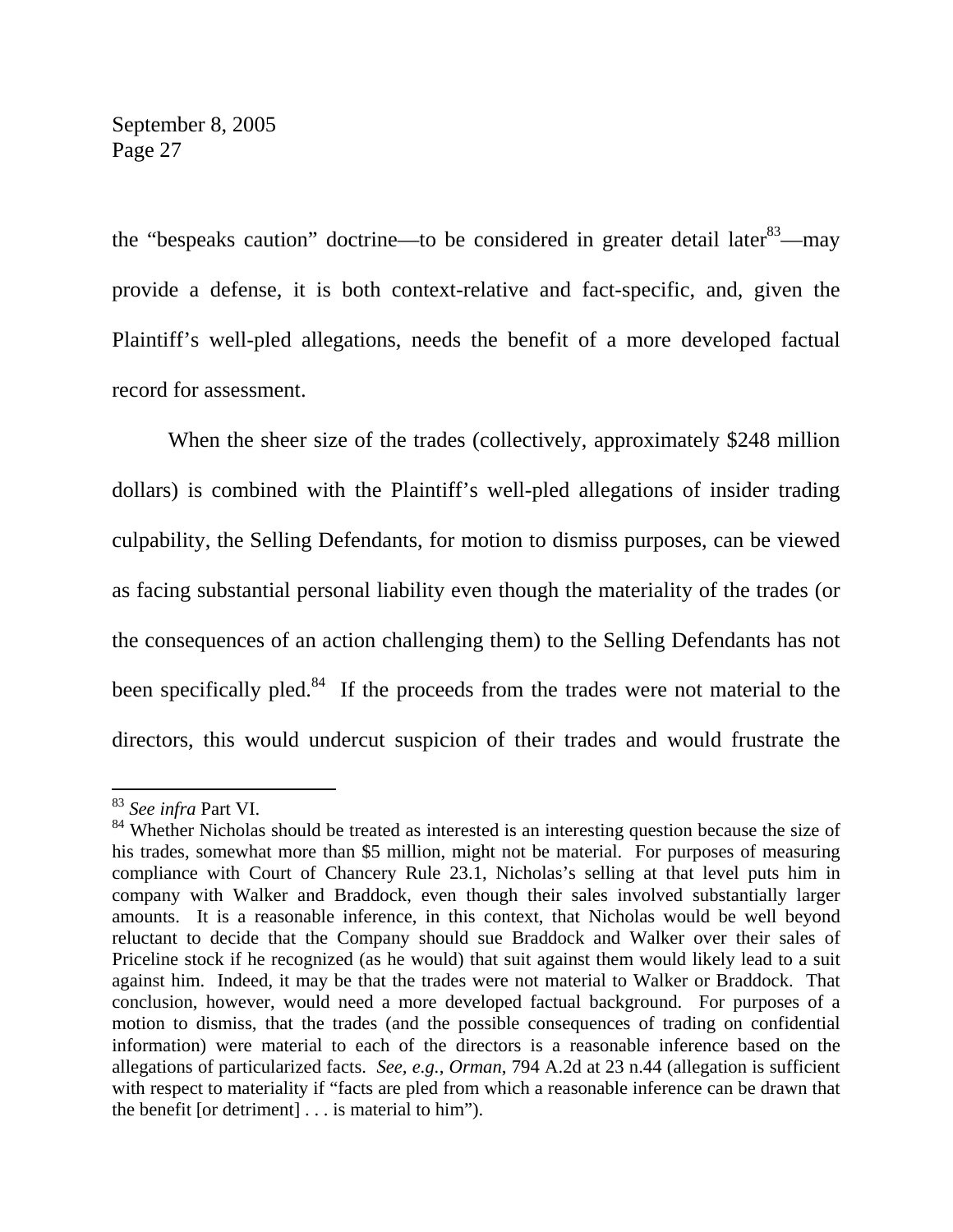the "bespeaks caution" doctrine—to be considered in greater detail later  $83$ —may provide a defense, it is both context-relative and fact-specific, and, given the Plaintiff's well-pled allegations, needs the benefit of a more developed factual record for assessment.

When the sheer size of the trades (collectively, approximately \$248 million dollars) is combined with the Plaintiff's well-pled allegations of insider trading culpability, the Selling Defendants, for motion to dismiss purposes, can be viewed as facing substantial personal liability even though the materiality of the trades (or the consequences of an action challenging them) to the Selling Defendants has not been specifically pled.<sup>84</sup> If the proceeds from the trades were not material to the directors, this would undercut suspicion of their trades and would frustrate the

<sup>83</sup> *See infra* Part VI.

<sup>&</sup>lt;sup>84</sup> Whether Nicholas should be treated as interested is an interesting question because the size of his trades, somewhat more than \$5 million, might not be material. For purposes of measuring compliance with Court of Chancery Rule 23.1, Nicholas's selling at that level puts him in company with Walker and Braddock, even though their sales involved substantially larger amounts. It is a reasonable inference, in this context, that Nicholas would be well beyond reluctant to decide that the Company should sue Braddock and Walker over their sales of Priceline stock if he recognized (as he would) that suit against them would likely lead to a suit against him. Indeed, it may be that the trades were not material to Walker or Braddock. That conclusion, however, would need a more developed factual background. For purposes of a motion to dismiss, that the trades (and the possible consequences of trading on confidential information) were material to each of the directors is a reasonable inference based on the allegations of particularized facts. *See, e.g.*, *Orman*, 794 A.2d at 23 n.44 (allegation is sufficient with respect to materiality if "facts are pled from which a reasonable inference can be drawn that the benefit [or detriment] . . . is material to him").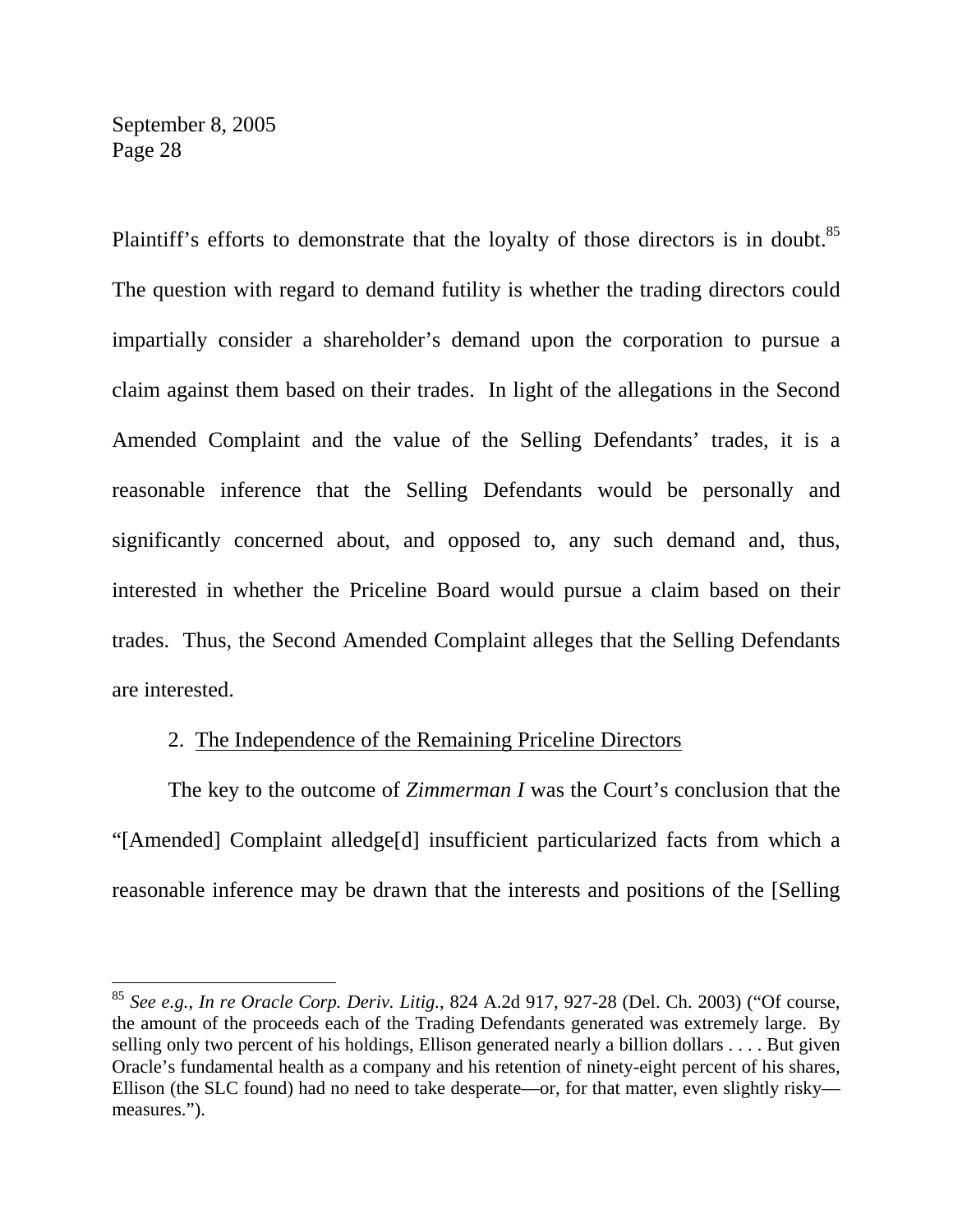$\overline{a}$ 

Plaintiff's efforts to demonstrate that the loyalty of those directors is in doubt.<sup>85</sup> The question with regard to demand futility is whether the trading directors could impartially consider a shareholder's demand upon the corporation to pursue a claim against them based on their trades. In light of the allegations in the Second Amended Complaint and the value of the Selling Defendants' trades, it is a reasonable inference that the Selling Defendants would be personally and significantly concerned about, and opposed to, any such demand and, thus, interested in whether the Priceline Board would pursue a claim based on their trades. Thus, the Second Amended Complaint alleges that the Selling Defendants are interested.

# 2. The Independence of the Remaining Priceline Directors

 The key to the outcome of *Zimmerman I* was the Court's conclusion that the "[Amended] Complaint alledge[d] insufficient particularized facts from which a reasonable inference may be drawn that the interests and positions of the [Selling

<sup>85</sup> *See e.g.*, *In re Oracle Corp. Deriv. Litig.*, 824 A.2d 917, 927-28 (Del. Ch. 2003) ("Of course, the amount of the proceeds each of the Trading Defendants generated was extremely large. By selling only two percent of his holdings, Ellison generated nearly a billion dollars . . . . But given Oracle's fundamental health as a company and his retention of ninety-eight percent of his shares, Ellison (the SLC found) had no need to take desperate—or, for that matter, even slightly risky measures.").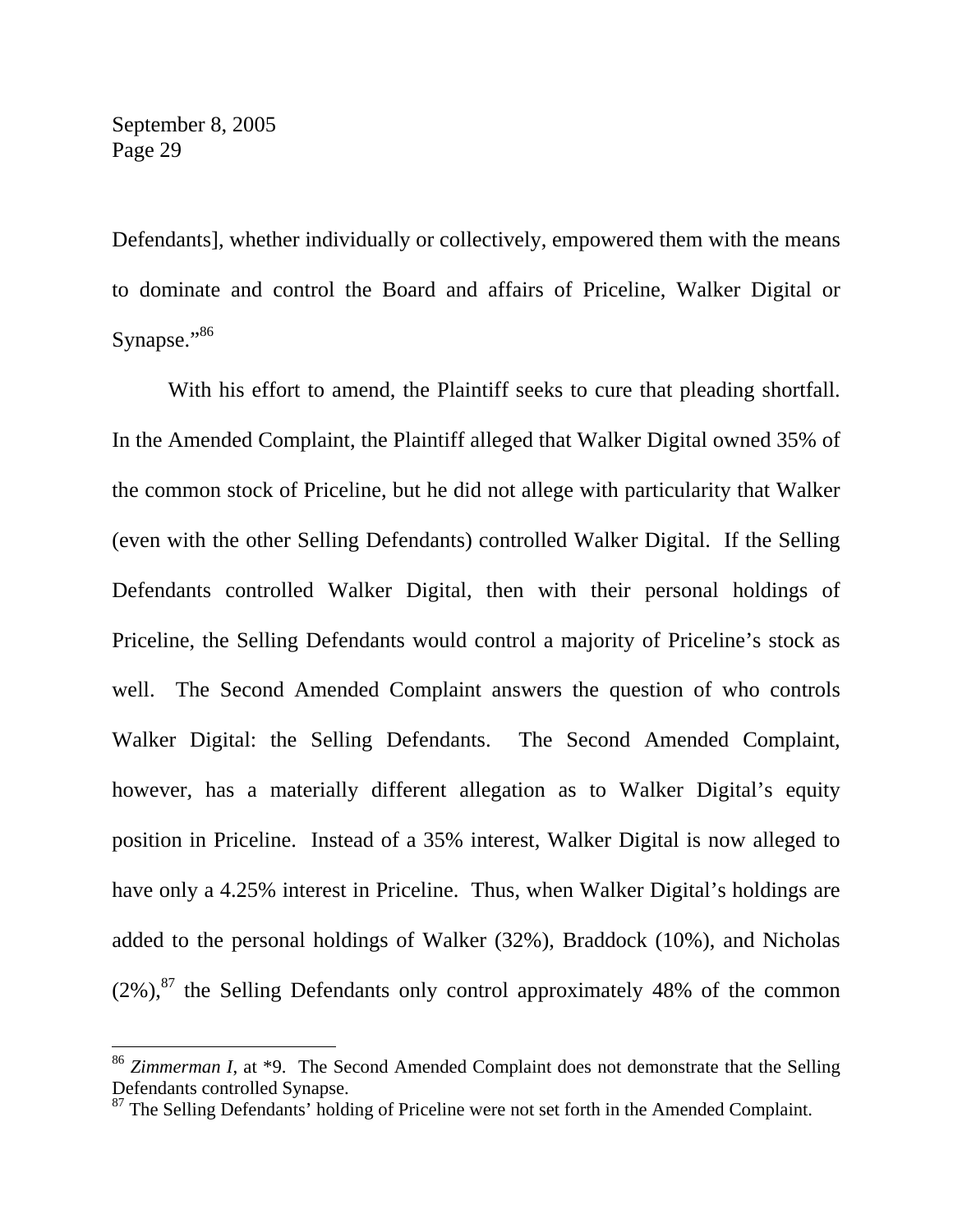$\overline{a}$ 

Defendants], whether individually or collectively, empowered them with the means to dominate and control the Board and affairs of Priceline, Walker Digital or Synapse."<sup>86</sup>

 With his effort to amend, the Plaintiff seeks to cure that pleading shortfall. In the Amended Complaint, the Plaintiff alleged that Walker Digital owned 35% of the common stock of Priceline, but he did not allege with particularity that Walker (even with the other Selling Defendants) controlled Walker Digital. If the Selling Defendants controlled Walker Digital, then with their personal holdings of Priceline, the Selling Defendants would control a majority of Priceline's stock as well. The Second Amended Complaint answers the question of who controls Walker Digital: the Selling Defendants. The Second Amended Complaint, however, has a materially different allegation as to Walker Digital's equity position in Priceline. Instead of a 35% interest, Walker Digital is now alleged to have only a 4.25% interest in Priceline. Thus, when Walker Digital's holdings are added to the personal holdings of Walker (32%), Braddock (10%), and Nicholas  $(2\%)$ ,<sup>87</sup> the Selling Defendants only control approximately 48% of the common

<sup>86</sup> *Zimmerman I*, at \*9. The Second Amended Complaint does not demonstrate that the Selling Defendants controlled Synapse.

<sup>&</sup>lt;sup>87</sup> The Selling Defendants' holding of Priceline were not set forth in the Amended Complaint.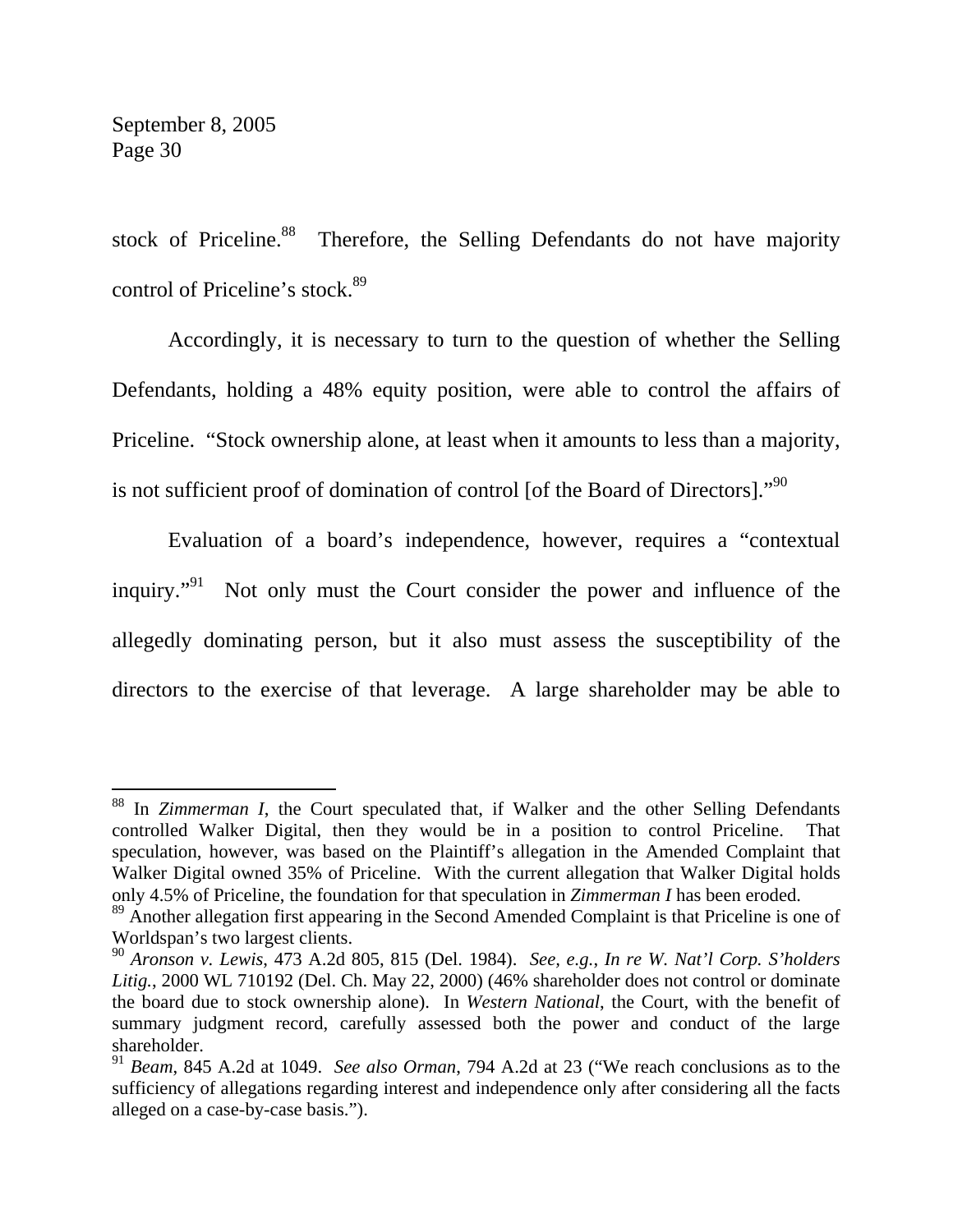$\overline{a}$ 

stock of Priceline.<sup>88</sup> Therefore, the Selling Defendants do not have majority control of Priceline's stock.<sup>89</sup>

 Accordingly, it is necessary to turn to the question of whether the Selling Defendants, holding a 48% equity position, were able to control the affairs of Priceline. "Stock ownership alone, at least when it amounts to less than a majority, is not sufficient proof of domination of control [of the Board of Directors]."90

 Evaluation of a board's independence, however, requires a "contextual inquiry. $1^{91}$  Not only must the Court consider the power and influence of the allegedly dominating person, but it also must assess the susceptibility of the directors to the exercise of that leverage. A large shareholder may be able to

<sup>88</sup> In *Zimmerman I*, the Court speculated that, if Walker and the other Selling Defendants controlled Walker Digital, then they would be in a position to control Priceline. That speculation, however, was based on the Plaintiff's allegation in the Amended Complaint that Walker Digital owned 35% of Priceline. With the current allegation that Walker Digital holds only 4.5% of Priceline, the foundation for that speculation in *Zimmerman I* has been eroded.

<sup>&</sup>lt;sup>89</sup> Another allegation first appearing in the Second Amended Complaint is that Priceline is one of Worldspan's two largest clients.

<sup>90</sup> *Aronson v. Lewis*, 473 A.2d 805, 815 (Del. 1984). *See, e.g.*, *In re W. Nat'l Corp. S'holders Litig.*, 2000 WL 710192 (Del. Ch. May 22, 2000) (46% shareholder does not control or dominate the board due to stock ownership alone). In *Western National*, the Court, with the benefit of summary judgment record, carefully assessed both the power and conduct of the large shareholder.

<sup>91</sup> *Beam*, 845 A.2d at 1049. *See also Orman*, 794 A.2d at 23 ("We reach conclusions as to the sufficiency of allegations regarding interest and independence only after considering all the facts alleged on a case-by-case basis.").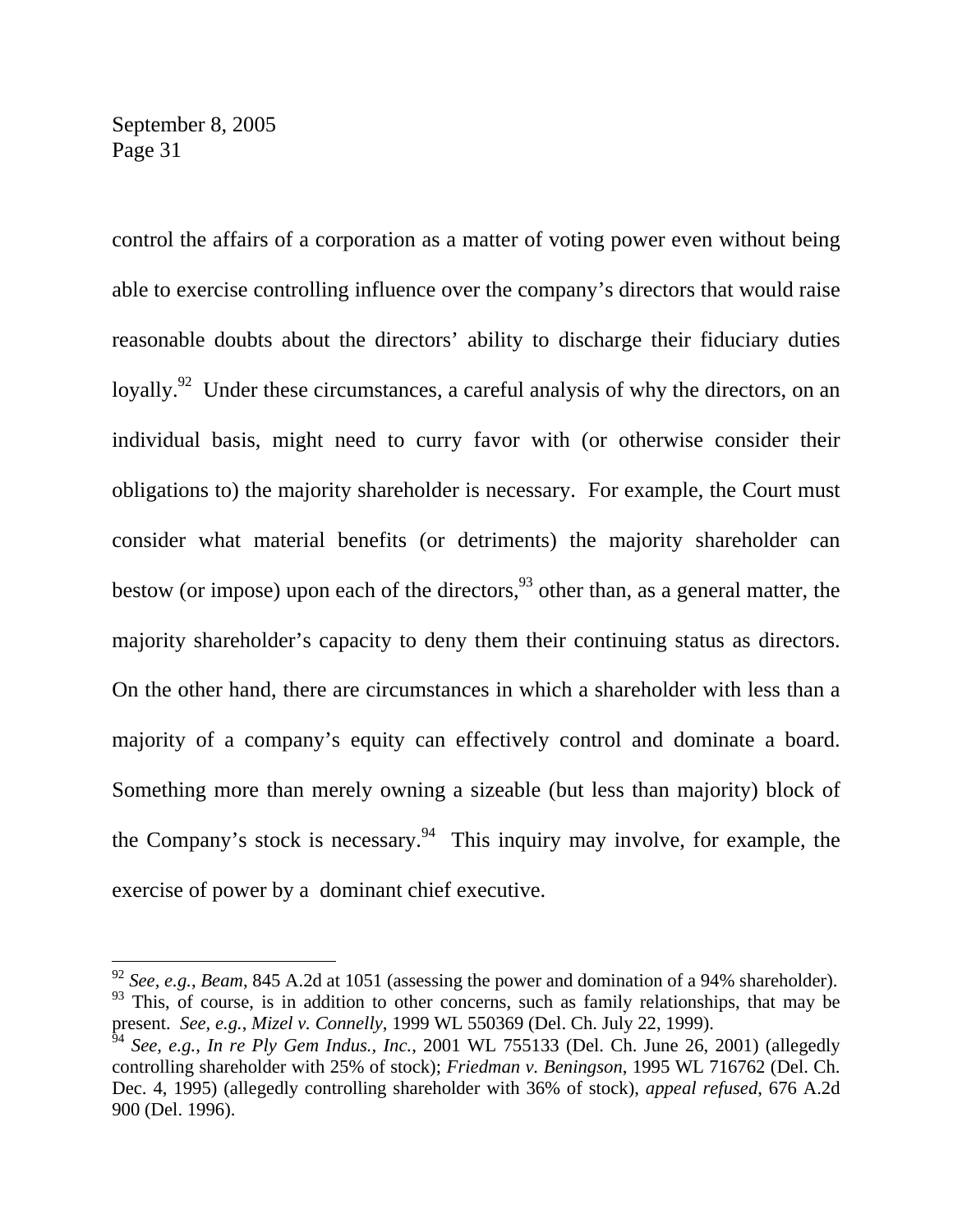$\overline{a}$ 

control the affairs of a corporation as a matter of voting power even without being able to exercise controlling influence over the company's directors that would raise reasonable doubts about the directors' ability to discharge their fiduciary duties loyally.<sup>92</sup> Under these circumstances, a careful analysis of why the directors, on an individual basis, might need to curry favor with (or otherwise consider their obligations to) the majority shareholder is necessary. For example, the Court must consider what material benefits (or detriments) the majority shareholder can bestow (or impose) upon each of the directors,  $93$  other than, as a general matter, the majority shareholder's capacity to deny them their continuing status as directors. On the other hand, there are circumstances in which a shareholder with less than a majority of a company's equity can effectively control and dominate a board. Something more than merely owning a sizeable (but less than majority) block of the Company's stock is necessary.<sup>94</sup> This inquiry may involve, for example, the exercise of power by a dominant chief executive.

<sup>92</sup> *See, e.g.*, *Beam*, 845 A.2d at 1051 (assessing the power and domination of a 94% shareholder).  $93$  This, of course, is in addition to other concerns, such as family relationships, that may be present. *See, e.g.*, *Mizel v. Connelly*, 1999 WL 550369 (Del. Ch. July 22, 1999).

<sup>94</sup> *See, e.g.*, *In re Ply Gem Indus., Inc.*, 2001 WL 755133 (Del. Ch. June 26, 2001) (allegedly controlling shareholder with 25% of stock); *Friedman v. Beningson*, 1995 WL 716762 (Del. Ch. Dec. 4, 1995) (allegedly controlling shareholder with 36% of stock), *appeal refused*, 676 A.2d 900 (Del. 1996).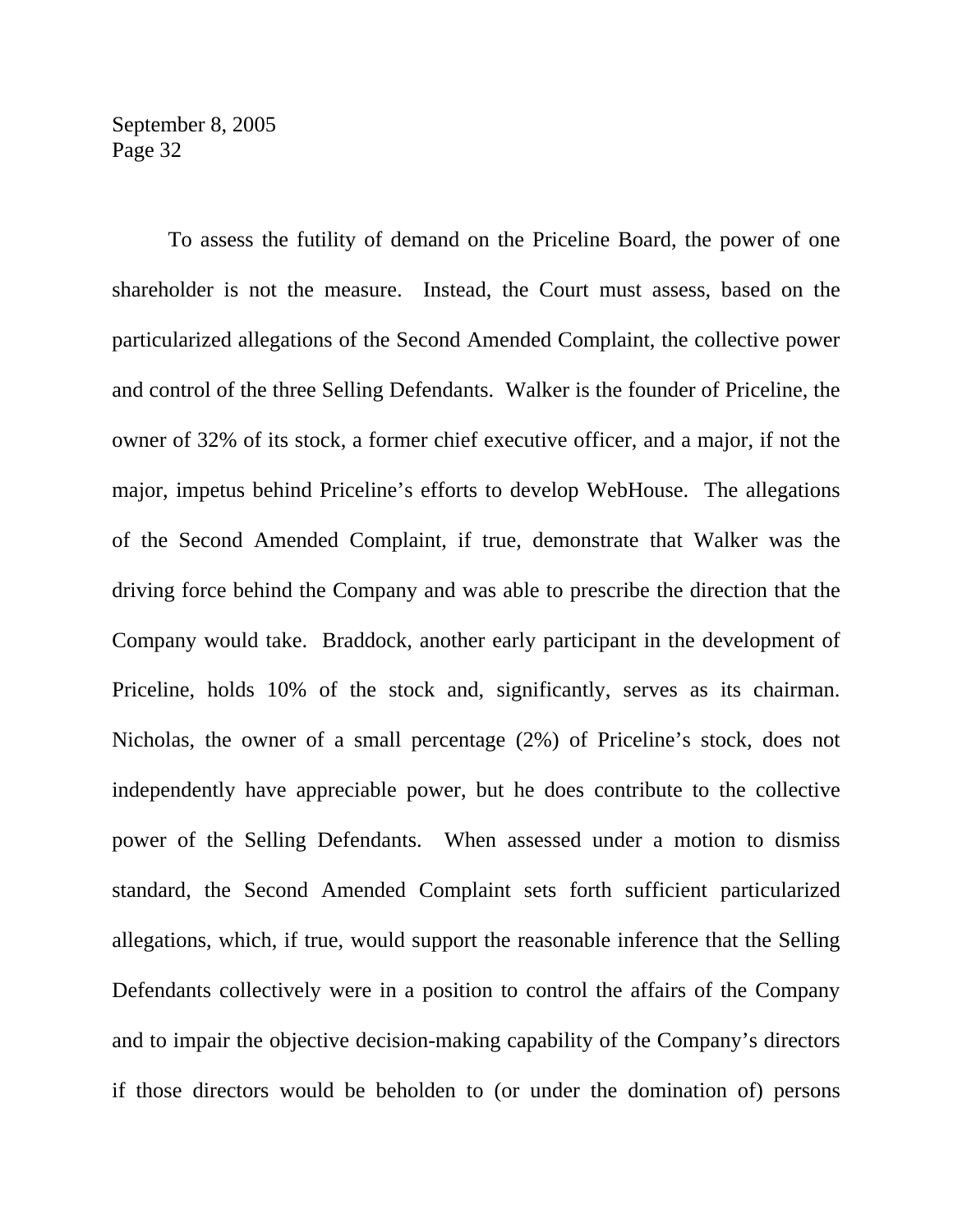To assess the futility of demand on the Priceline Board, the power of one shareholder is not the measure. Instead, the Court must assess, based on the particularized allegations of the Second Amended Complaint, the collective power and control of the three Selling Defendants. Walker is the founder of Priceline, the owner of 32% of its stock, a former chief executive officer, and a major, if not the major, impetus behind Priceline's efforts to develop WebHouse. The allegations of the Second Amended Complaint, if true, demonstrate that Walker was the driving force behind the Company and was able to prescribe the direction that the Company would take. Braddock, another early participant in the development of Priceline, holds 10% of the stock and, significantly, serves as its chairman. Nicholas, the owner of a small percentage (2%) of Priceline's stock, does not independently have appreciable power, but he does contribute to the collective power of the Selling Defendants. When assessed under a motion to dismiss standard, the Second Amended Complaint sets forth sufficient particularized allegations, which, if true, would support the reasonable inference that the Selling Defendants collectively were in a position to control the affairs of the Company and to impair the objective decision-making capability of the Company's directors if those directors would be beholden to (or under the domination of) persons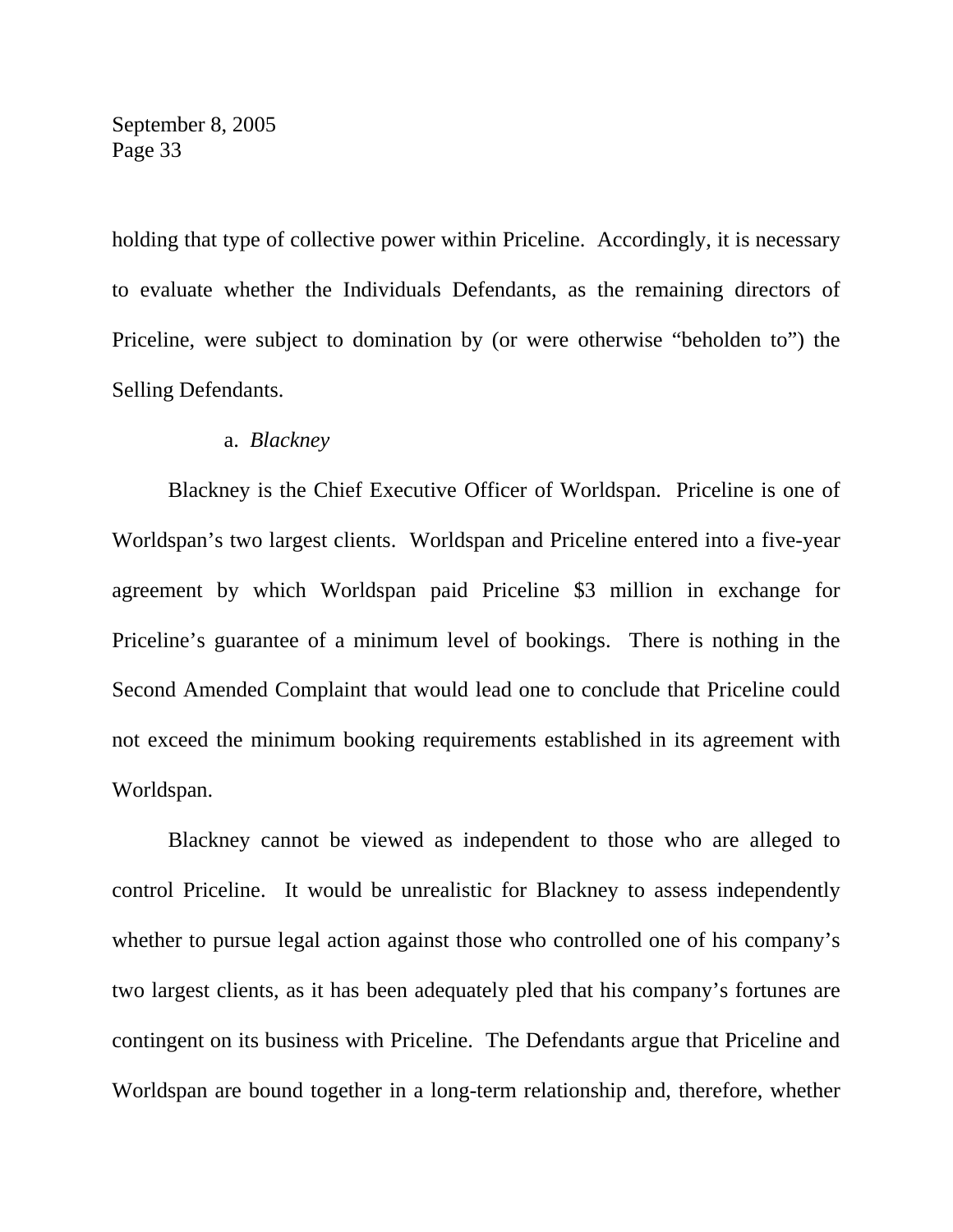holding that type of collective power within Priceline. Accordingly, it is necessary to evaluate whether the Individuals Defendants, as the remaining directors of Priceline, were subject to domination by (or were otherwise "beholden to") the Selling Defendants.

#### a. *Blackney*

Blackney is the Chief Executive Officer of Worldspan. Priceline is one of Worldspan's two largest clients. Worldspan and Priceline entered into a five-year agreement by which Worldspan paid Priceline \$3 million in exchange for Priceline's guarantee of a minimum level of bookings. There is nothing in the Second Amended Complaint that would lead one to conclude that Priceline could not exceed the minimum booking requirements established in its agreement with Worldspan.

 Blackney cannot be viewed as independent to those who are alleged to control Priceline. It would be unrealistic for Blackney to assess independently whether to pursue legal action against those who controlled one of his company's two largest clients, as it has been adequately pled that his company's fortunes are contingent on its business with Priceline. The Defendants argue that Priceline and Worldspan are bound together in a long-term relationship and, therefore, whether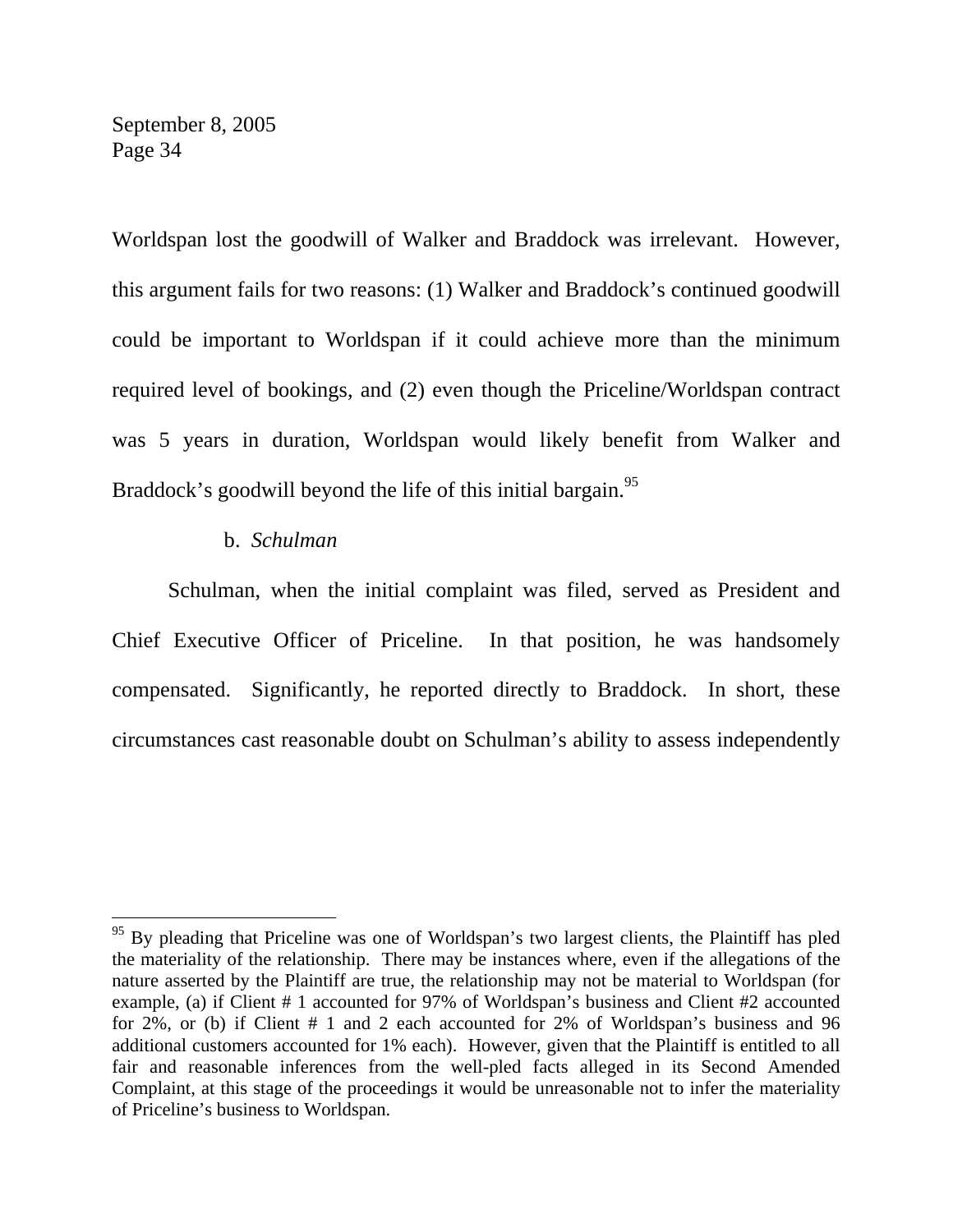$\overline{a}$ 

Worldspan lost the goodwill of Walker and Braddock was irrelevant. However, this argument fails for two reasons: (1) Walker and Braddock's continued goodwill could be important to Worldspan if it could achieve more than the minimum required level of bookings, and (2) even though the Priceline/Worldspan contract was 5 years in duration, Worldspan would likely benefit from Walker and Braddock's goodwill beyond the life of this initial bargain.<sup>95</sup>

## b. *Schulman*

 Schulman, when the initial complaint was filed, served as President and Chief Executive Officer of Priceline. In that position, he was handsomely compensated. Significantly, he reported directly to Braddock. In short, these circumstances cast reasonable doubt on Schulman's ability to assess independently

<sup>&</sup>lt;sup>95</sup> By pleading that Priceline was one of Worldspan's two largest clients, the Plaintiff has pled the materiality of the relationship. There may be instances where, even if the allegations of the nature asserted by the Plaintiff are true, the relationship may not be material to Worldspan (for example, (a) if Client # 1 accounted for 97% of Worldspan's business and Client #2 accounted for 2%, or (b) if Client # 1 and 2 each accounted for 2% of Worldspan's business and 96 additional customers accounted for 1% each). However, given that the Plaintiff is entitled to all fair and reasonable inferences from the well-pled facts alleged in its Second Amended Complaint, at this stage of the proceedings it would be unreasonable not to infer the materiality of Priceline's business to Worldspan.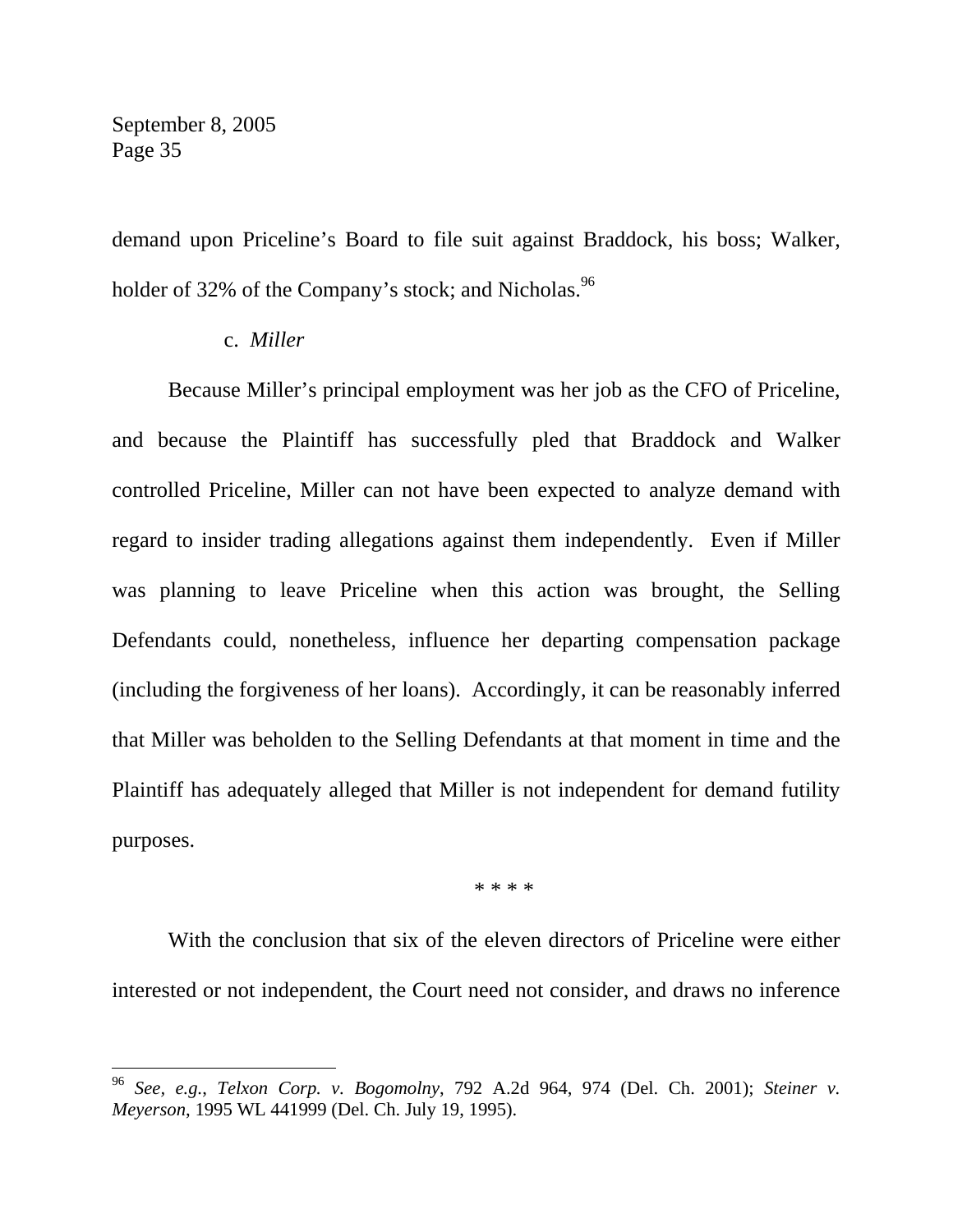$\overline{a}$ 

demand upon Priceline's Board to file suit against Braddock, his boss; Walker, holder of 32% of the Company's stock; and Nicholas. $96$ 

c. *Miller*

Because Miller's principal employment was her job as the CFO of Priceline, and because the Plaintiff has successfully pled that Braddock and Walker controlled Priceline, Miller can not have been expected to analyze demand with regard to insider trading allegations against them independently. Even if Miller was planning to leave Priceline when this action was brought, the Selling Defendants could, nonetheless, influence her departing compensation package (including the forgiveness of her loans). Accordingly, it can be reasonably inferred that Miller was beholden to the Selling Defendants at that moment in time and the Plaintiff has adequately alleged that Miller is not independent for demand futility purposes.

\* \* \* \*

With the conclusion that six of the eleven directors of Priceline were either interested or not independent, the Court need not consider, and draws no inference

<sup>96</sup> *See, e.g.*, *Telxon Corp. v. Bogomolny*, 792 A.2d 964, 974 (Del. Ch. 2001); *Steiner v. Meyerson*, 1995 WL 441999 (Del. Ch. July 19, 1995).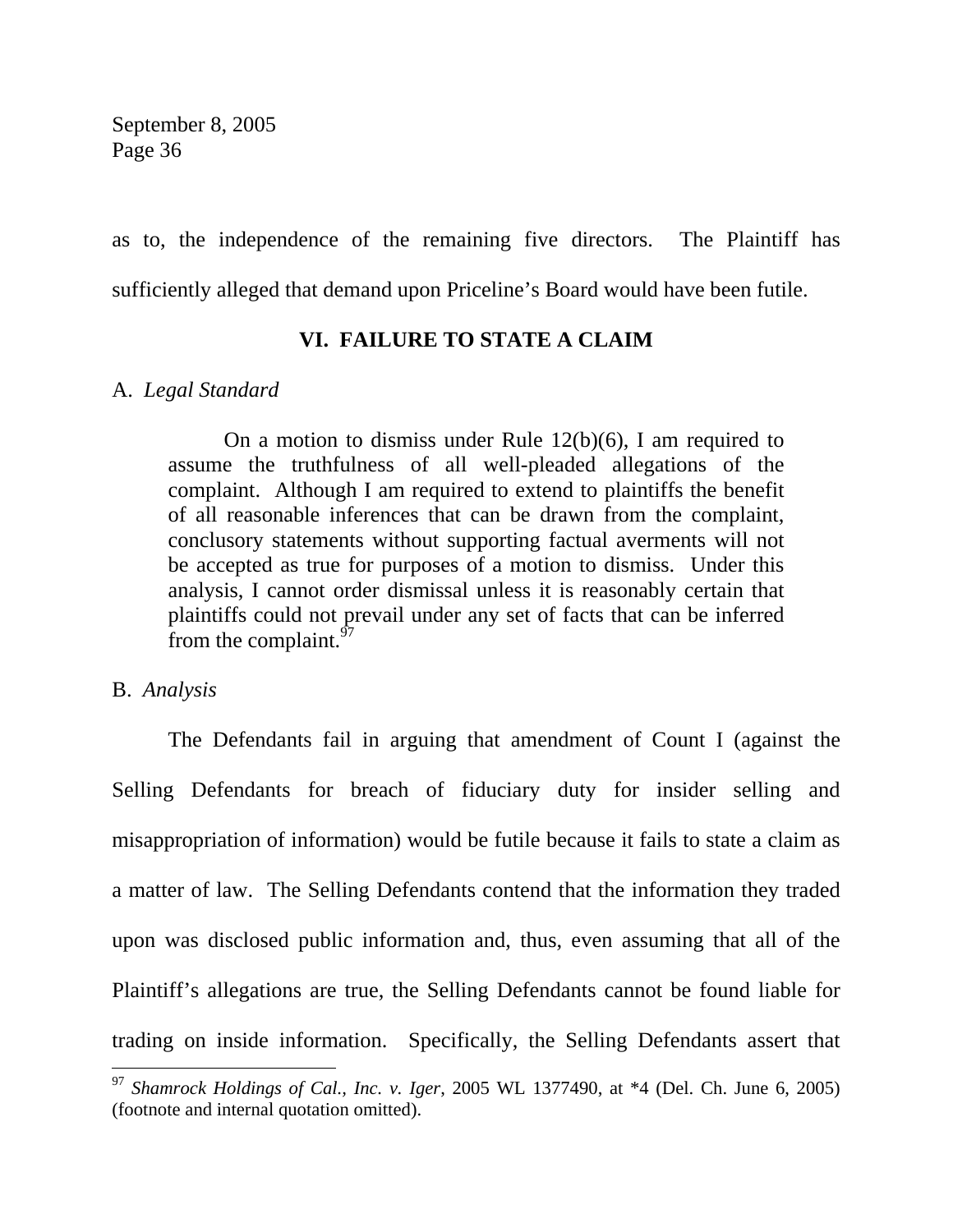as to, the independence of the remaining five directors. The Plaintiff has sufficiently alleged that demand upon Priceline's Board would have been futile.

# **VI. FAILURE TO STATE A CLAIM**

## A. *Legal Standard*

 On a motion to dismiss under Rule 12(b)(6), I am required to assume the truthfulness of all well-pleaded allegations of the complaint. Although I am required to extend to plaintiffs the benefit of all reasonable inferences that can be drawn from the complaint, conclusory statements without supporting factual averments will not be accepted as true for purposes of a motion to dismiss. Under this analysis, I cannot order dismissal unless it is reasonably certain that plaintiffs could not prevail under any set of facts that can be inferred from the complaint.  $\frac{97}{7}$ 

#### B. *Analysis*

 $\overline{a}$ 

The Defendants fail in arguing that amendment of Count I (against the Selling Defendants for breach of fiduciary duty for insider selling and misappropriation of information) would be futile because it fails to state a claim as a matter of law. The Selling Defendants contend that the information they traded upon was disclosed public information and, thus, even assuming that all of the Plaintiff's allegations are true, the Selling Defendants cannot be found liable for trading on inside information. Specifically, the Selling Defendants assert that

<sup>97</sup> *Shamrock Holdings of Cal., Inc. v. Iger*, 2005 WL 1377490, at \*4 (Del. Ch. June 6, 2005) (footnote and internal quotation omitted).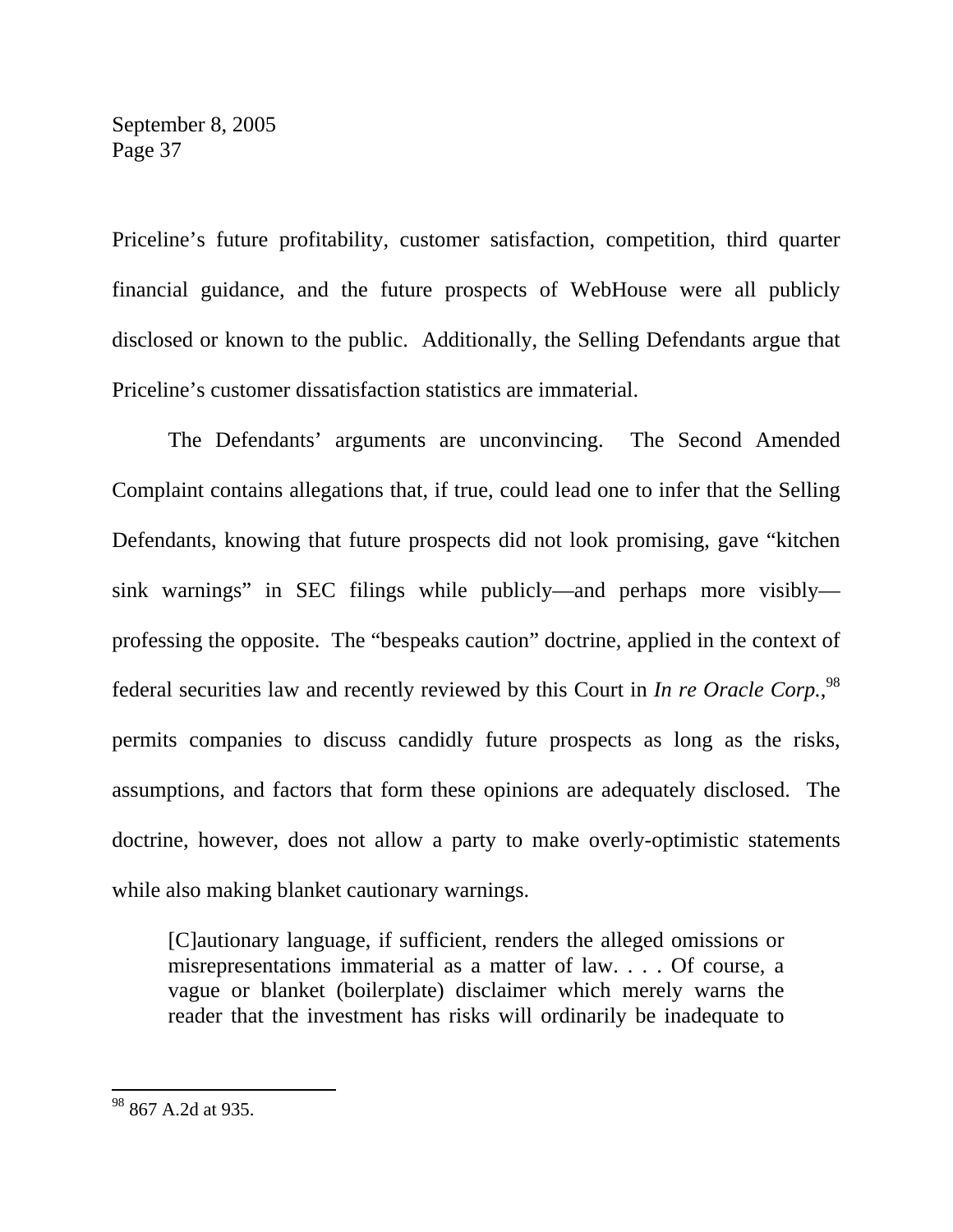Priceline's future profitability, customer satisfaction, competition, third quarter financial guidance, and the future prospects of WebHouse were all publicly disclosed or known to the public. Additionally, the Selling Defendants argue that Priceline's customer dissatisfaction statistics are immaterial.

The Defendants' arguments are unconvincing. The Second Amended Complaint contains allegations that, if true, could lead one to infer that the Selling Defendants, knowing that future prospects did not look promising, gave "kitchen sink warnings" in SEC filings while publicly—and perhaps more visibly professing the opposite. The "bespeaks caution" doctrine, applied in the context of federal securities law and recently reviewed by this Court in *In re Oracle Corp.*, 98 permits companies to discuss candidly future prospects as long as the risks, assumptions, and factors that form these opinions are adequately disclosed. The doctrine, however, does not allow a party to make overly-optimistic statements while also making blanket cautionary warnings.

[C]autionary language, if sufficient, renders the alleged omissions or misrepresentations immaterial as a matter of law. . . . Of course, a vague or blanket (boilerplate) disclaimer which merely warns the reader that the investment has risks will ordinarily be inadequate to

<sup>98 867</sup> A.2d at 935.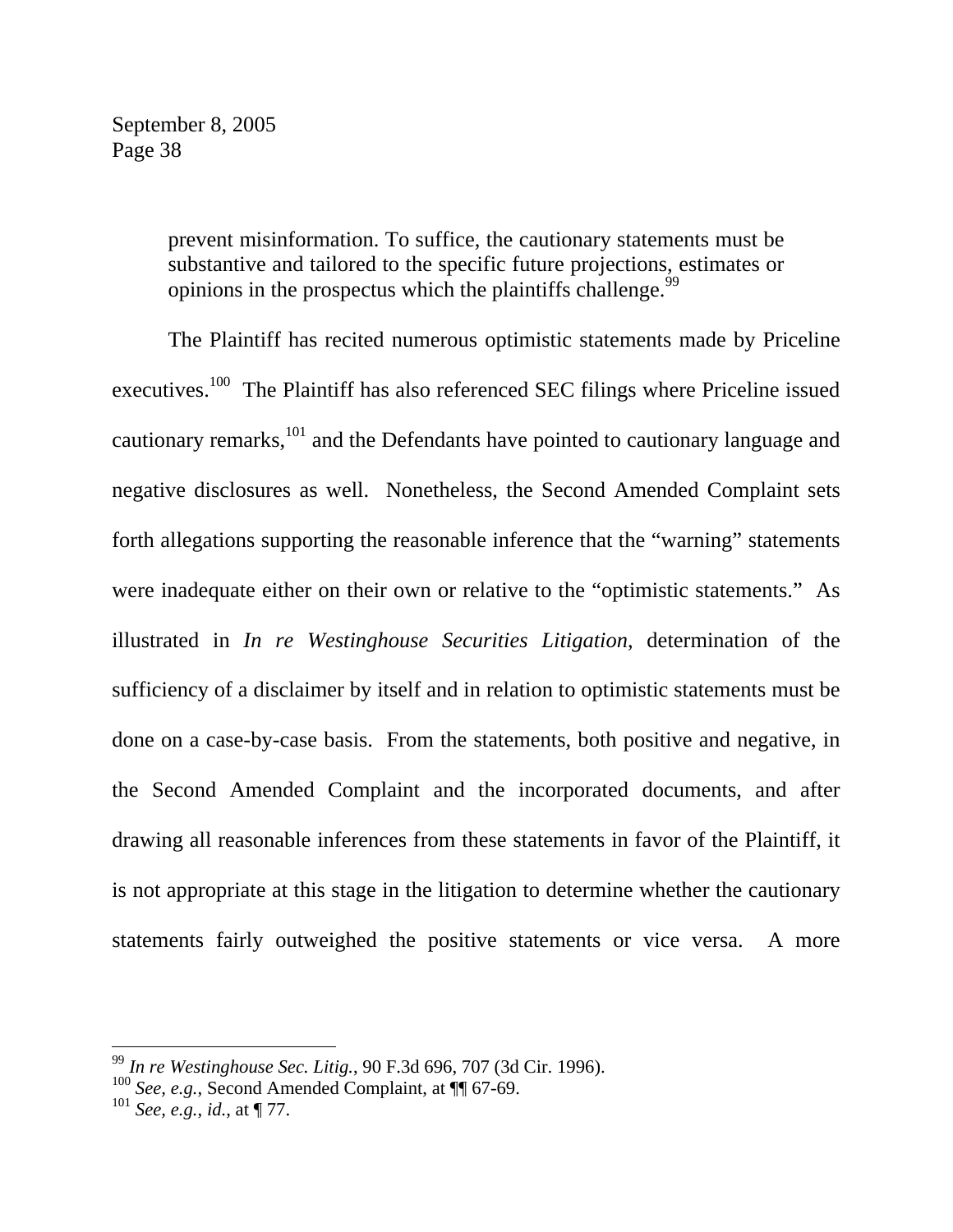> prevent misinformation. To suffice, the cautionary statements must be substantive and tailored to the specific future projections, estimates or opinions in the prospectus which the plaintiffs challenge. $\frac{99}{2}$

 The Plaintiff has recited numerous optimistic statements made by Priceline executives.<sup>100</sup> The Plaintiff has also referenced SEC filings where Priceline issued cautionary remarks, $101$  and the Defendants have pointed to cautionary language and negative disclosures as well. Nonetheless, the Second Amended Complaint sets forth allegations supporting the reasonable inference that the "warning" statements were inadequate either on their own or relative to the "optimistic statements." As illustrated in *In re Westinghouse Securities Litigation*, determination of the sufficiency of a disclaimer by itself and in relation to optimistic statements must be done on a case-by-case basis. From the statements, both positive and negative, in the Second Amended Complaint and the incorporated documents, and after drawing all reasonable inferences from these statements in favor of the Plaintiff, it is not appropriate at this stage in the litigation to determine whether the cautionary statements fairly outweighed the positive statements or vice versa. A more

<sup>99</sup> *In re Westinghouse Sec. Litig.*, 90 F.3d 696, 707 (3d Cir. 1996).

<sup>&</sup>lt;sup>100</sup> *See, e.g.*, Second Amended Complaint, at ¶ 67-69.

<sup>101</sup> *See, e.g.*, *id.*, at ¶ 77.